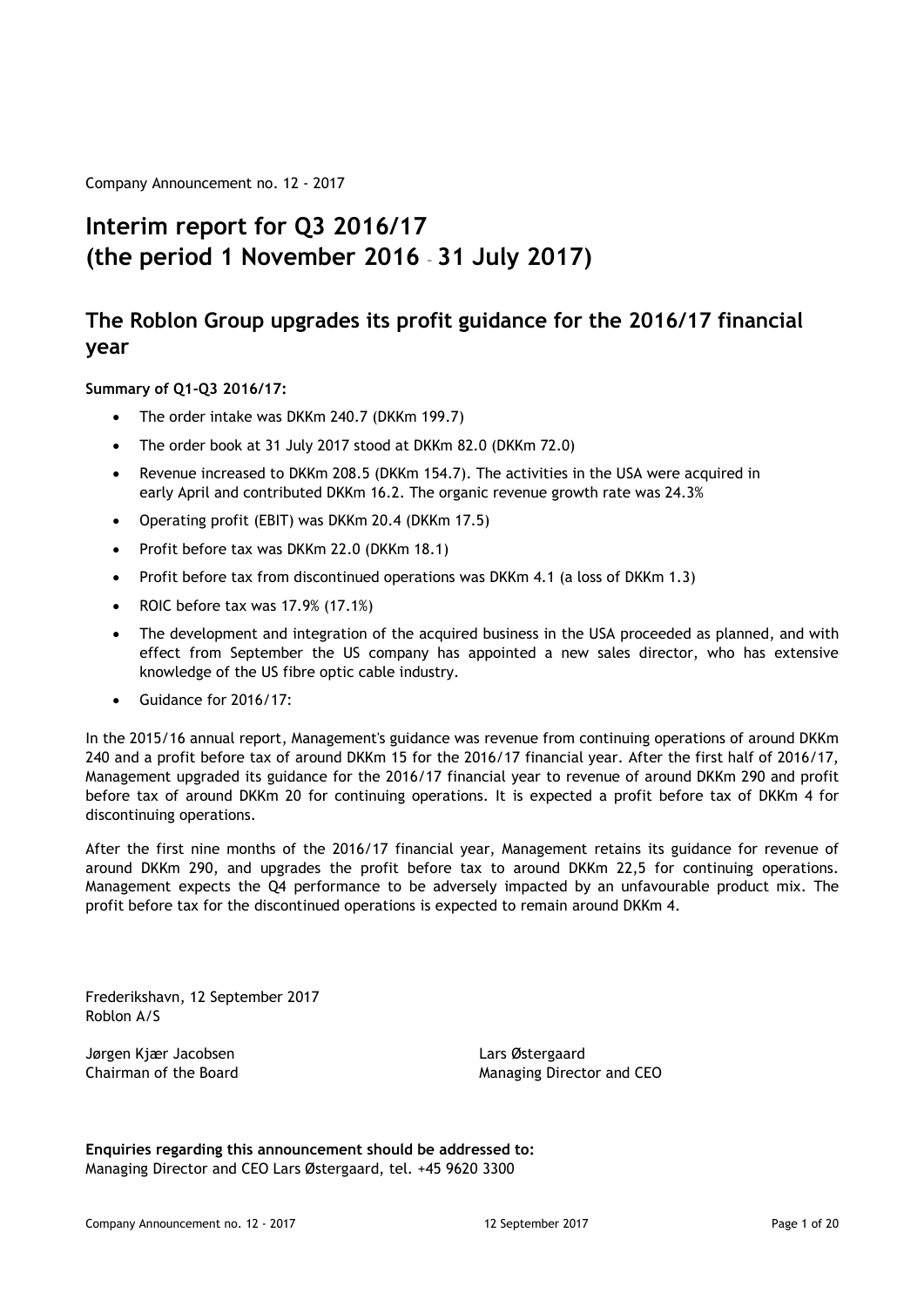Company Announcement no. 12 - 2017

## **Interim report for Q3 2016/17 (the period 1 November 2016** – **31 July 2017)**

## **The Roblon Group upgrades its profit guidance for the 2016/17 financial year**

#### **Summary of Q1-Q3 2016/17:**

- · The order intake was DKKm 240.7 (DKKm 199.7)
- · The order book at 31 July 2017 stood at DKKm 82.0 (DKKm 72.0)
- Revenue increased to DKKm 208.5 (DKKm 154.7). The activities in the USA were acquired in early April and contributed DKKm 16.2. The organic revenue growth rate was 24.3%
- · Operating profit (EBIT) was DKKm 20.4 (DKKm 17.5)
- · Profit before tax was DKKm 22.0 (DKKm 18.1)
- · Profit before tax from discontinued operations was DKKm 4.1 (a loss of DKKm 1.3)
- · ROIC before tax was 17.9% (17.1%)
- · The development and integration of the acquired business in the USA proceeded as planned, and with effect from September the US company has appointed a new sales director, who has extensive knowledge of the US fibre optic cable industry.
- · Guidance for 2016/17:

In the 2015/16 annual report, Management's guidance was revenue from continuing operations of around DKKm 240 and a profit before tax of around DKKm 15 for the 2016/17 financial year. After the first half of 2016/17, Management upgraded its guidance for the 2016/17 financial year to revenue of around DKKm 290 and profit before tax of around DKKm 20 for continuing operations. It is expected a profit before tax of DKKm 4 for discontinuing operations.

After the first nine months of the 2016/17 financial year, Management retains its guidance for revenue of around DKKm 290, and upgrades the profit before tax to around DKKm 22,5 for continuing operations. Management expects the Q4 performance to be adversely impacted by an unfavourable product mix. The profit before tax for the discontinued operations is expected to remain around DKKm 4.

Frederikshavn, 12 September 2017 Roblon A/S

Jørgen Kjær Jacobsen Lars Østergaard

Chairman of the Board Managing Director and CEO

**Enquiries regarding this announcement should be addressed to:** Managing Director and CEO Lars Østergaard, tel. +45 9620 3300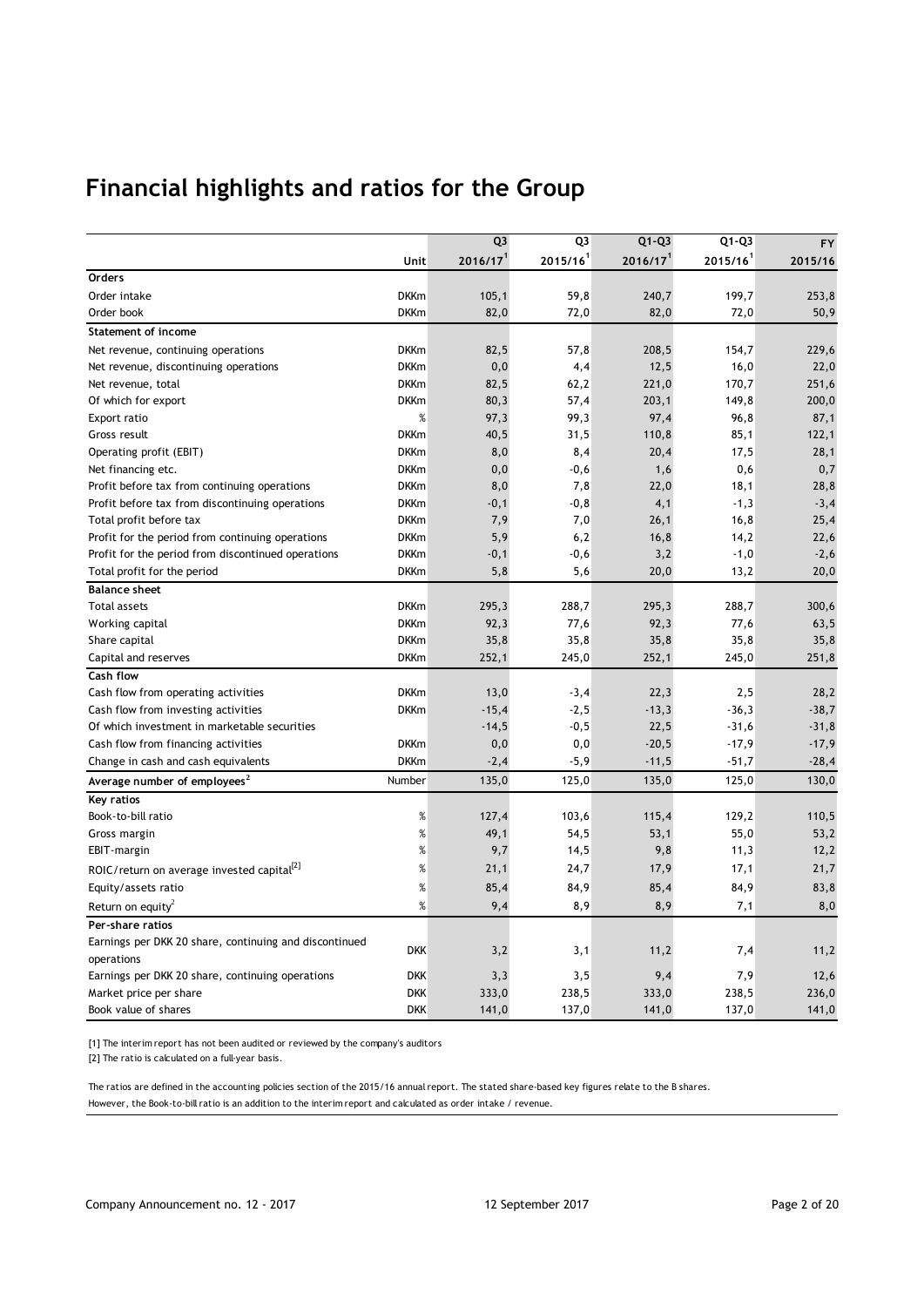# **Financial highlights and ratios for the Group**

|                                                        |             | Q <sub>3</sub>       | Q3                     | $Q1-Q3$              | $Q1-Q3$                | <b>FY</b> |
|--------------------------------------------------------|-------------|----------------------|------------------------|----------------------|------------------------|-----------|
|                                                        | Unit        | 2016/17 <sup>1</sup> | $2015/16$ <sup>1</sup> | 2016/17 <sup>1</sup> | $2015/16$ <sup>1</sup> | 2015/16   |
| Orders                                                 |             |                      |                        |                      |                        |           |
| Order intake                                           | <b>DKKm</b> | 105,1                | 59,8                   | 240,7                | 199,7                  | 253,8     |
| Order book                                             | <b>DKKm</b> | 82,0                 | 72,0                   | 82,0                 | 72,0                   | 50,9      |
| <b>Statement of income</b>                             |             |                      |                        |                      |                        |           |
| Net revenue, continuing operations                     | <b>DKKm</b> | 82,5                 | 57,8                   | 208,5                | 154,7                  | 229,6     |
| Net revenue, discontinuing operations                  | <b>DKKm</b> | 0,0                  | 4,4                    | 12,5                 | 16,0                   | 22,0      |
| Net revenue, total                                     | <b>DKKm</b> | 82,5                 | 62,2                   | 221,0                | 170,7                  | 251,6     |
| Of which for export                                    | <b>DKKm</b> | 80,3                 | 57,4                   | 203,1                | 149,8                  | 200,0     |
| Export ratio                                           | %           | 97,3                 | 99,3                   | 97,4                 | 96,8                   | 87,1      |
| Gross result                                           | <b>DKKm</b> | 40,5                 | 31,5                   | 110,8                | 85,1                   | 122,1     |
| Operating profit (EBIT)                                | <b>DKKm</b> | 8,0                  | 8,4                    | 20,4                 | 17,5                   | 28,1      |
| Net financing etc.                                     | <b>DKKm</b> | 0,0                  | $-0,6$                 | 1,6                  | 0,6                    | 0,7       |
| Profit before tax from continuing operations           | <b>DKKm</b> | 8,0                  | 7,8                    | 22,0                 | 18,1                   | 28,8      |
| Profit before tax from discontinuing operations        | <b>DKKm</b> | -0,1                 | $-0, 8$                | 4,1                  | $-1,3$                 | $-3,4$    |
| Total profit before tax                                | <b>DKKm</b> | 7,9                  | 7,0                    | 26,1                 | 16,8                   | 25,4      |
| Profit for the period from continuing operations       | <b>DKKm</b> | 5,9                  | 6,2                    | 16,8                 | 14,2                   | 22,6      |
| Profit for the period from discontinued operations     | <b>DKKm</b> | $-0,1$               | $-0,6$                 | 3,2                  | $-1,0$                 | $-2,6$    |
| Total profit for the period                            | <b>DKKm</b> | 5,8                  | 5,6                    | 20,0                 | 13,2                   | 20,0      |
| <b>Balance sheet</b>                                   |             |                      |                        |                      |                        |           |
| <b>Total assets</b>                                    | <b>DKKm</b> | 295,3                | 288,7                  | 295,3                | 288,7                  | 300,6     |
| Working capital                                        | <b>DKKm</b> | 92,3                 | 77,6                   | 92,3                 | 77,6                   | 63,5      |
| Share capital                                          | <b>DKKm</b> | 35,8                 | 35,8                   | 35,8                 | 35,8                   | 35,8      |
| Capital and reserves                                   | <b>DKKm</b> | 252,1                | 245,0                  | 252,1                | 245,0                  | 251,8     |
| Cash flow                                              |             |                      |                        |                      |                        |           |
| Cash flow from operating activities                    | <b>DKKm</b> | 13,0                 | $-3,4$                 | 22,3                 | 2,5                    | 28,2      |
| Cash flow from investing activities                    | <b>DKKm</b> | $-15,4$              | $-2,5$                 | $-13,3$              | $-36,3$                | $-38,7$   |
| Of which investment in marketable securities           |             | $-14,5$              | $-0,5$                 | 22,5                 | $-31,6$                | $-31,8$   |
| Cash flow from financing activities                    | <b>DKKm</b> | 0,0                  | 0,0                    | $-20,5$              | $-17,9$                | $-17,9$   |
| Change in cash and cash equivalents                    | <b>DKKm</b> | $-2,4$               | $-5,9$                 | $-11,5$              | $-51,7$                | $-28,4$   |
| Average number of employees <sup>2</sup>               | Number      | 135,0                | 125,0                  | 135,0                | 125,0                  | 130,0     |
| <b>Key ratios</b>                                      |             |                      |                        |                      |                        |           |
| Book-to-bill ratio                                     | %           | 127,4                | 103,6                  | 115,4                | 129,2                  | 110,5     |
| Gross margin                                           | %           | 49,1                 | 54,5                   | 53,1                 | 55,0                   | 53,2      |
| EBIT-margin                                            | $\%$        | 9,7                  | 14,5                   | 9,8                  | 11,3                   | 12,2      |
| ROIC/return on average invested capital <sup>[2]</sup> | $\%$        | 21,1                 | 24,7                   | 17,9                 | 17,1                   | 21,7      |
| Equity/assets ratio                                    | %           | 85,4                 | 84,9                   | 85,4                 | 84,9                   | 83,8      |
| Return on equity <sup>2</sup>                          | %           | 9,4                  | 8,9                    | 8,9                  | 7,1                    | 8,0       |
| Per-share ratios                                       |             |                      |                        |                      |                        |           |
| Earnings per DKK 20 share, continuing and discontinued |             |                      |                        |                      |                        |           |
| operations                                             | <b>DKK</b>  | 3,2                  | 3,1                    | 11,2                 | 7,4                    | 11,2      |
| Earnings per DKK 20 share, continuing operations       | <b>DKK</b>  | 3,3                  | 3,5                    | 9,4                  | 7,9                    | 12,6      |
| Market price per share                                 | <b>DKK</b>  | 333,0                | 238,5                  | 333,0                | 238,5                  | 236,0     |
| Book value of shares                                   | <b>DKK</b>  | 141,0                | 137,0                  | 141,0                | 137,0                  | 141,0     |

[1] The interim report has not been audited or reviewed by the company's auditors

[2] The ratio is calculated on a full-year basis.

However, the Book-to-bill ratio is an addition to the interim report and calculated as order intake / revenue. The ratios are defined in the accounting policies section of the 2015/16 annual report. The stated share-based key figures relate to the B shares.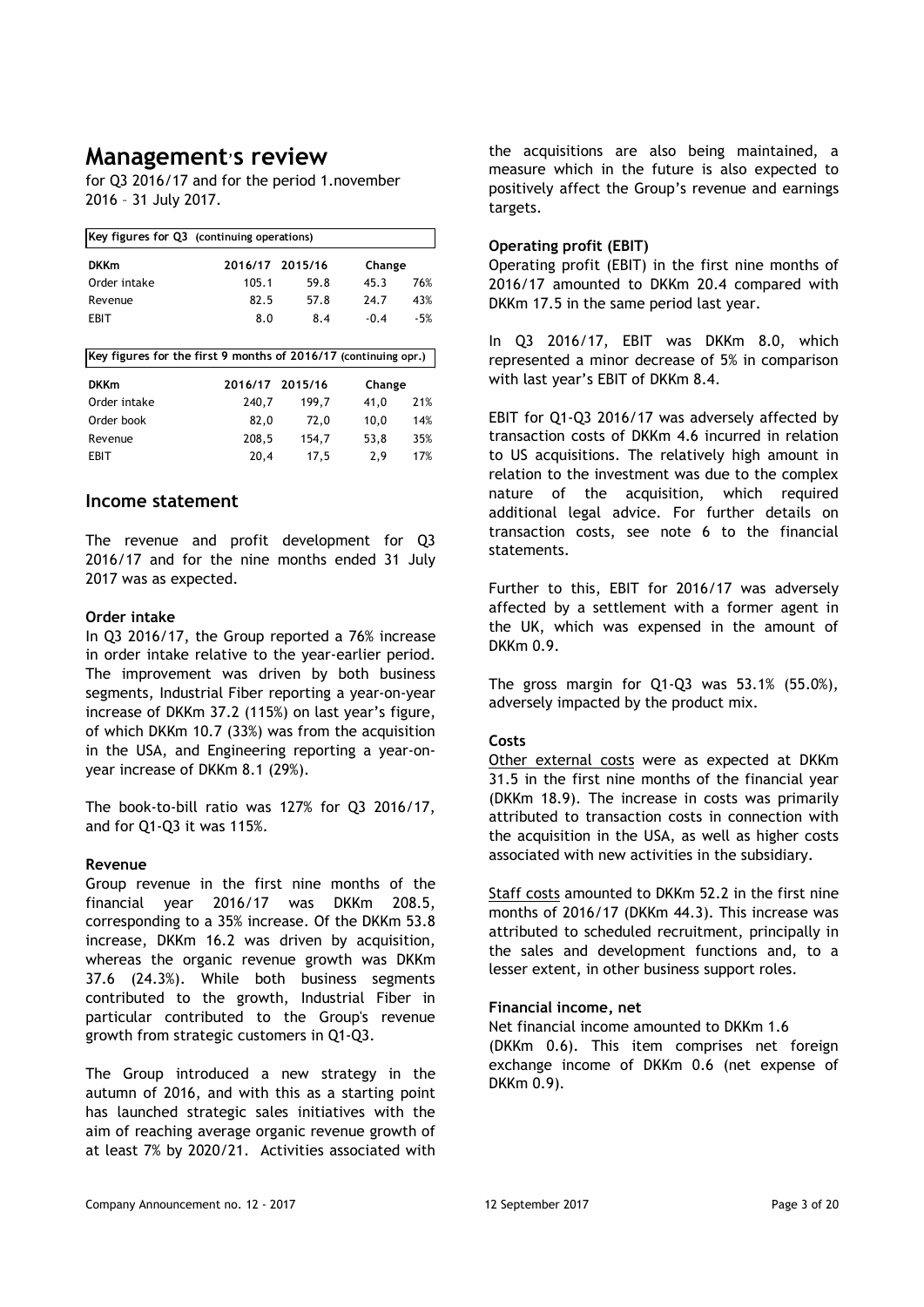## **Management**'**s review**

for Q3 2016/17 and for the period 1.november 2016 – 31 July 2017.

| Key figures for Q3 (continuing operations)                      |                 |       |        |       |  |  |  |
|-----------------------------------------------------------------|-----------------|-------|--------|-------|--|--|--|
| <b>DKKm</b>                                                     | 2016/17 2015/16 |       | Change |       |  |  |  |
| Order intake                                                    | 105.1           | 59.8  | 45.3   | 76%   |  |  |  |
| Revenue                                                         | 82.5            | 57.8  | 24.7   | 43%   |  |  |  |
| EBIT                                                            | 8.0             | 8.4   | $-0.4$ | $-5%$ |  |  |  |
|                                                                 |                 |       |        |       |  |  |  |
| Key figures for the first 9 months of 2016/17 (continuing opr.) |                 |       |        |       |  |  |  |
|                                                                 |                 |       |        |       |  |  |  |
| <b>DKKm</b>                                                     | 2016/17 2015/16 |       | Change |       |  |  |  |
| Order intake                                                    | 240,7           | 199,7 | 41,0   | 21%   |  |  |  |
| Order book                                                      | 82,0            | 72,0  | 10,0   | 14%   |  |  |  |
| Revenue                                                         | 208,5           | 154,7 | 53,8   | 35%   |  |  |  |

### **Income statement**

The revenue and profit development for Q3 2016/17 and for the nine months ended 31 July 2017 was as expected.

#### **Order intake**

In Q3 2016/17, the Group reported a 76% increase in order intake relative to the year-earlier period. The improvement was driven by both business segments, Industrial Fiber reporting a year-on-year increase of DKKm 37.2 (115%) on last year's figure, of which DKKm 10.7 (33%) was from the acquisition in the USA, and Engineering reporting a year-onyear increase of DKKm 8.1 (29%).

The book-to-bill ratio was 127% for Q3 2016/17, and for Q1-Q3 it was 115%.

### **Revenue**

Group revenue in the first nine months of the financial year 2016/17 was DKKm 208.5, corresponding to a 35% increase. Of the DKKm 53.8 increase, DKKm 16.2 was driven by acquisition, whereas the organic revenue growth was DKKm 37.6 (24.3%). While both business segments contributed to the growth, Industrial Fiber in particular contributed to the Group's revenue growth from strategic customers in Q1-Q3.

The Group introduced a new strategy in the autumn of 2016, and with this as a starting point has launched strategic sales initiatives with the aim of reaching average organic revenue growth of at least 7% by 2020/21. Activities associated with

the acquisitions are also being maintained, a measure which in the future is also expected to positively affect the Group's revenue and earnings targets.

### **Operating profit (EBIT)**

Operating profit (EBIT) in the first nine months of 2016/17 amounted to DKKm 20.4 compared with DKKm 17.5 in the same period last year.

In Q3 2016/17, EBIT was DKKm 8.0, which represented a minor decrease of 5% in comparison with last year's EBIT of DKKm 8.4.

EBIT for Q1-Q3 2016/17 was adversely affected by transaction costs of DKKm 4.6 incurred in relation to US acquisitions. The relatively high amount in relation to the investment was due to the complex nature of the acquisition, which required additional legal advice. For further details on transaction costs, see note 6 to the financial statements.

Further to this, EBIT for 2016/17 was adversely affected by a settlement with a former agent in the UK, which was expensed in the amount of DKKm 0.9.

The gross margin for Q1-Q3 was 53.1% (55.0%), adversely impacted by the product mix.

### **Costs**

Other external costs were as expected at DKKm 31.5 in the first nine months of the financial year (DKKm 18.9). The increase in costs was primarily attributed to transaction costs in connection with the acquisition in the USA, as well as higher costs associated with new activities in the subsidiary.

Staff costs amounted to DKKm 52.2 in the first nine months of 2016/17 (DKKm 44.3). This increase was attributed to scheduled recruitment, principally in the sales and development functions and, to a lesser extent, in other business support roles.

#### **Financial income, net**

Net financial income amounted to DKKm 1.6 (DKKm 0.6). This item comprises net foreign exchange income of DKKm 0.6 (net expense of DKKm 0.9).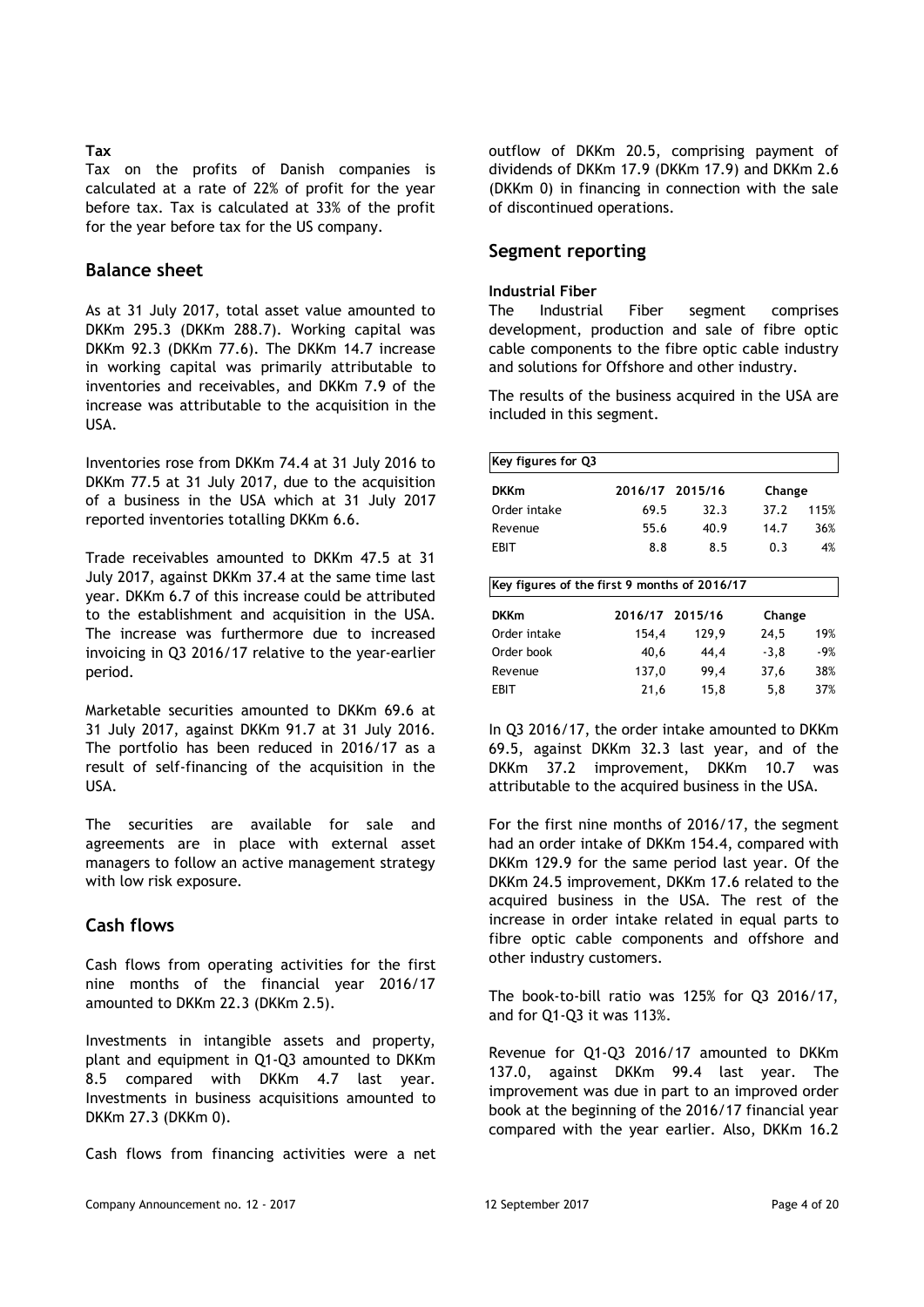#### **Tax**

Tax on the profits of Danish companies is calculated at a rate of 22% of profit for the year before tax. Tax is calculated at 33% of the profit for the year before tax for the US company.

## **Balance sheet**

As at 31 July 2017, total asset value amounted to DKKm 295.3 (DKKm 288.7). Working capital was DKKm 92.3 (DKKm 77.6). The DKKm 14.7 increase in working capital was primarily attributable to inventories and receivables, and DKKm 7.9 of the increase was attributable to the acquisition in the USA.

Inventories rose from DKKm 74.4 at 31 July 2016 to DKKm 77.5 at 31 July 2017, due to the acquisition of a business in the USA which at 31 July 2017 reported inventories totalling DKKm 6.6.

Trade receivables amounted to DKKm 47.5 at 31 July 2017, against DKKm 37.4 at the same time last year. DKKm 6.7 of this increase could be attributed to the establishment and acquisition in the USA. The increase was furthermore due to increased invoicing in Q3 2016/17 relative to the year-earlier period.

Marketable securities amounted to DKKm 69.6 at 31 July 2017, against DKKm 91.7 at 31 July 2016. The portfolio has been reduced in 2016/17 as a result of self-financing of the acquisition in the USA.

The securities are available for sale and agreements are in place with external asset managers to follow an active management strategy with low risk exposure*.* 

## **Cash flows**

Cash flows from operating activities for the first nine months of the financial year 2016/17 amounted to DKKm 22.3 (DKKm 2.5).

Investments in intangible assets and property, plant and equipment in Q1-Q3 amounted to DKKm 8.5 compared with DKKm 4.7 last year. Investments in business acquisitions amounted to DKKm 27.3 (DKKm 0).

Cash flows from financing activities were a net

outflow of DKKm 20.5, comprising payment of dividends of DKKm 17.9 (DKKm 17.9) and DKKm 2.6 (DKKm 0) in financing in connection with the sale of discontinued operations.

## **Segment reporting**

#### **Industrial Fiber**

The Industrial Fiber segment comprises development, production and sale of fibre optic cable components to the fibre optic cable industry and solutions for Offshore and other industry.

The results of the business acquired in the USA are included in this segment.

| Key figures for Q3                           |                 |                 |        |      |  |  |  |
|----------------------------------------------|-----------------|-----------------|--------|------|--|--|--|
| <b>DKKm</b>                                  |                 | 2016/17 2015/16 | Change |      |  |  |  |
| Order intake                                 | 69.5            | 32.3            | 37.2   | 115% |  |  |  |
| Revenue                                      | 55.6            | 40.9            | 14.7   | 36%  |  |  |  |
| FBIT                                         | 8.8             | 8.5             | 0.3    | 4%   |  |  |  |
| Key figures of the first 9 months of 2016/17 |                 |                 |        |      |  |  |  |
| <b>DKKm</b>                                  | 2016/17 2015/16 |                 | Change |      |  |  |  |
| Order intake                                 | 154,4           | 129,9           | 24,5   | 19%  |  |  |  |
| Order book                                   | 40,6            | 44,4            | $-3,8$ | -9%  |  |  |  |
| Revenue                                      | 137,0           | 99.4            | 37,6   | 38%  |  |  |  |
| EBIT                                         | 21,6            | 15,8            | 5,8    | 37%  |  |  |  |

In Q3 2016/17, the order intake amounted to DKKm 69.5, against DKKm 32.3 last year, and of the DKKm 37.2 improvement, DKKm 10.7 was attributable to the acquired business in the USA.

For the first nine months of 2016/17, the segment had an order intake of DKKm 154.4, compared with DKKm 129.9 for the same period last year. Of the DKKm 24.5 improvement, DKKm 17.6 related to the acquired business in the USA. The rest of the increase in order intake related in equal parts to fibre optic cable components and offshore and other industry customers.

The book-to-bill ratio was 125% for Q3 2016/17, and for Q1-Q3 it was 113%.

Revenue for Q1-Q3 2016/17 amounted to DKKm 137.0, against DKKm 99.4 last year. The improvement was due in part to an improved order book at the beginning of the 2016/17 financial year compared with the year earlier. Also, DKKm 16.2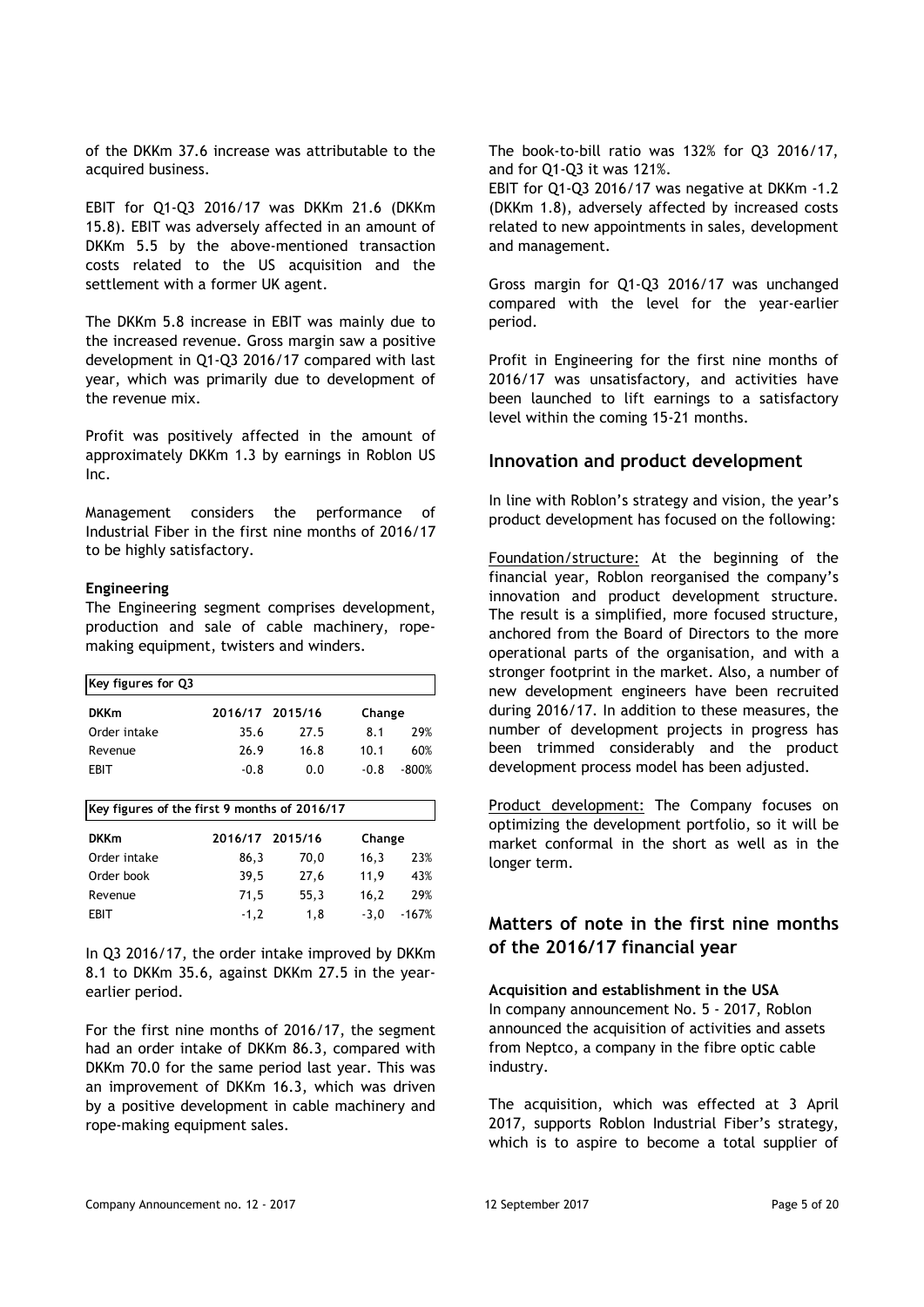of the DKKm 37.6 increase was attributable to the acquired business.

EBIT for Q1-Q3 2016/17 was DKKm 21.6 (DKKm 15.8). EBIT was adversely affected in an amount of DKKm 5.5 by the above-mentioned transaction costs related to the US acquisition and the settlement with a former UK agent.

The DKKm 5.8 increase in EBIT was mainly due to the increased revenue. Gross margin saw a positive development in Q1-Q3 2016/17 compared with last year, which was primarily due to development of the revenue mix.

Profit was positively affected in the amount of approximately DKKm 1.3 by earnings in Roblon US Inc.

Management considers the performance of Industrial Fiber in the first nine months of 2016/17 to be highly satisfactory.

#### **Engineering**

The Engineering segment comprises development, production and sale of cable machinery, ropemaking equipment, twisters and winders.

| Key figures for Q3                           |        |                 |        |         |  |  |  |
|----------------------------------------------|--------|-----------------|--------|---------|--|--|--|
| <b>DKKm</b>                                  |        | 2016/17 2015/16 | Change |         |  |  |  |
| Order intake                                 | 35.6   | 27.5            | 8.1    | 29%     |  |  |  |
| Revenue                                      | 26.9   | 16.8            | 10.1   | 60%     |  |  |  |
| EBIT                                         | $-0.8$ | 0.0             | $-0.8$ | $-800%$ |  |  |  |
| Key figures of the first 9 months of 2016/17 |        |                 |        |         |  |  |  |
|                                              |        |                 |        |         |  |  |  |

| <b>DKKm</b>  | 2016/17 2015/16 |      | Change            |  |
|--------------|-----------------|------|-------------------|--|
| Order intake | 86.3            | 70.0 | 23%<br>16.3       |  |
| Order book   | 39.5            | 27.6 | 11.9<br>43%       |  |
| Revenue      | 71,5            | 55.3 | 29%<br>16.2       |  |
| <b>FBIT</b>  | $-1.2$          | 1.8  | $-3.0$<br>$-167%$ |  |

In Q3 2016/17, the order intake improved by DKKm 8.1 to DKKm 35.6, against DKKm 27.5 in the yearearlier period.

For the first nine months of 2016/17, the segment had an order intake of DKKm 86.3, compared with DKKm 70.0 for the same period last year. This was an improvement of DKKm 16.3, which was driven by a positive development in cable machinery and rope-making equipment sales.

The book-to-bill ratio was 132% for Q3 2016/17, and for Q1-Q3 it was 121%.

EBIT for Q1-Q3 2016/17 was negative at DKKm -1.2 (DKKm 1.8), adversely affected by increased costs related to new appointments in sales, development and management.

Gross margin for Q1-Q3 2016/17 was unchanged compared with the level for the year-earlier period.

Profit in Engineering for the first nine months of 2016/17 was unsatisfactory, and activities have been launched to lift earnings to a satisfactory level within the coming 15-21 months.

#### **Innovation and product development**

In line with Roblon's strategy and vision, the year's product development has focused on the following:

Foundation/structure: At the beginning of the financial year, Roblon reorganised the company's innovation and product development structure. The result is a simplified, more focused structure, anchored from the Board of Directors to the more operational parts of the organisation, and with a stronger footprint in the market. Also, a number of new development engineers have been recruited during 2016/17. In addition to these measures, the number of development projects in progress has been trimmed considerably and the product development process model has been adjusted.

Product development: The Company focuses on optimizing the development portfolio, so it will be market conformal in the short as well as in the longer term.

## **Matters of note in the first nine months of the 2016/17 financial year**

**Acquisition and establishment in the USA** In company announcement No. 5 - 2017, Roblon announced the acquisition of activities and assets from Neptco, a company in the fibre optic cable industry.

The acquisition, which was effected at 3 April 2017, supports Roblon Industrial Fiber's strategy, which is to aspire to become a total supplier of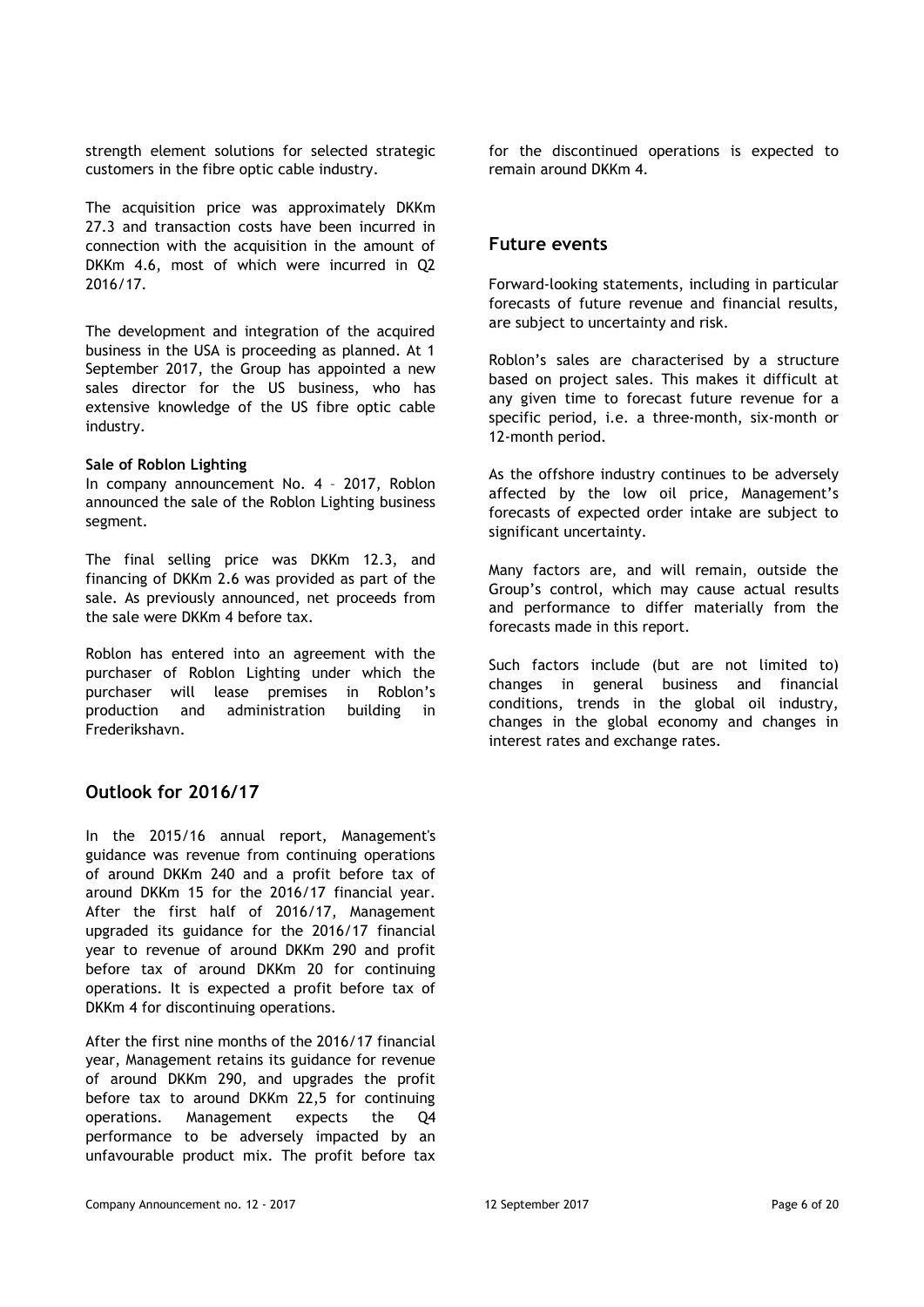strength element solutions for selected strategic customers in the fibre optic cable industry.

The acquisition price was approximately DKKm 27.3 and transaction costs have been incurred in connection with the acquisition in the amount of DKKm 4.6, most of which were incurred in Q2 2016/17.

The development and integration of the acquired business in the USA is proceeding as planned. At 1 September 2017, the Group has appointed a new sales director for the US business, who has extensive knowledge of the US fibre optic cable industry.

#### **Sale of Roblon Lighting**

In company announcement No. 4 – 2017, Roblon announced the sale of the Roblon Lighting business segment.

The final selling price was DKKm 12.3, and financing of DKKm 2.6 was provided as part of the sale. As previously announced, net proceeds from the sale were DKKm 4 before tax.

Roblon has entered into an agreement with the purchaser of Roblon Lighting under which the purchaser will lease premises in Roblon's production and administration building in Frederikshavn.

## **Outlook for 2016/17**

In the 2015/16 annual report, Management's guidance was revenue from continuing operations of around DKKm 240 and a profit before tax of around DKKm 15 for the 2016/17 financial year. After the first half of 2016/17, Management upgraded its guidance for the 2016/17 financial year to revenue of around DKKm 290 and profit before tax of around DKKm 20 for continuing operations. It is expected a profit before tax of DKKm 4 for discontinuing operations.

After the first nine months of the 2016/17 financial year, Management retains its guidance for revenue of around DKKm 290, and upgrades the profit before tax to around DKKm 22,5 for continuing operations. Management expects the Q4 performance to be adversely impacted by an unfavourable product mix. The profit before tax

for the discontinued operations is expected to remain around DKKm 4.

#### **Future events**

Forward-looking statements, including in particular forecasts of future revenue and financial results, are subject to uncertainty and risk.

Roblon's sales are characterised by a structure based on project sales. This makes it difficult at any given time to forecast future revenue for a specific period, i.e. a three-month, six-month or 12-month period.

As the offshore industry continues to be adversely affected by the low oil price, Management's forecasts of expected order intake are subject to significant uncertainty.

Many factors are, and will remain, outside the Group's control, which may cause actual results and performance to differ materially from the forecasts made in this report.

Such factors include (but are not limited to) changes in general business and financial conditions, trends in the global oil industry, changes in the global economy and changes in interest rates and exchange rates.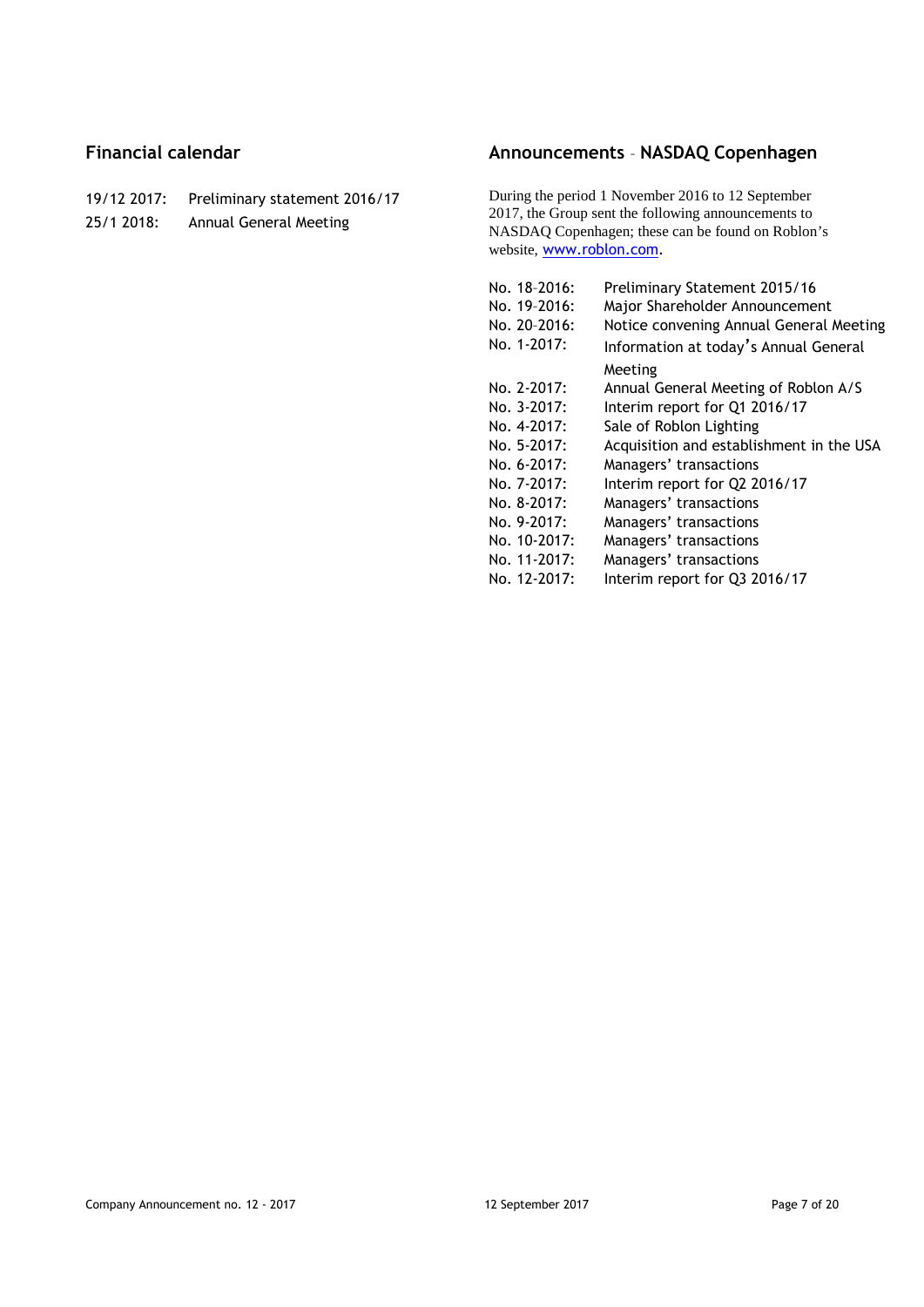## **Financial calendar**

- 19/12 2017: Preliminary statement 2016/17 25/1 2018: Annual General Meeting
- **Announcements NASDAQ Copenhagen**

During the period 1 November 2016 to 12 September 2017, the Group sent the following announcements to NASDAQ Copenhagen; these can be found on Roblon's website, <www.roblon.com>.

| No. 18-2016: | Preliminary Statement 2015/16            |
|--------------|------------------------------------------|
| No. 19-2016: | Major Shareholder Announcement           |
| No. 20-2016: | Notice convening Annual General Meeting  |
| No. 1-2017:  | Information at today's Annual General    |
|              | Meeting                                  |
| No. 2-2017:  | Annual General Meeting of Roblon A/S     |
| No. 3-2017:  | Interim report for Q1 2016/17            |
| No. 4-2017:  | Sale of Roblon Lighting                  |
| No. 5-2017:  | Acquisition and establishment in the USA |
| No. 6-2017:  | Managers' transactions                   |
| No. 7-2017:  | Interim report for Q2 2016/17            |
| No. 8-2017:  | Managers' transactions                   |
| No. 9-2017:  | Managers' transactions                   |
| No. 10-2017: | Managers' transactions                   |
| No. 11-2017: | Managers' transactions                   |
| No. 12-2017: | Interim report for Q3 2016/17            |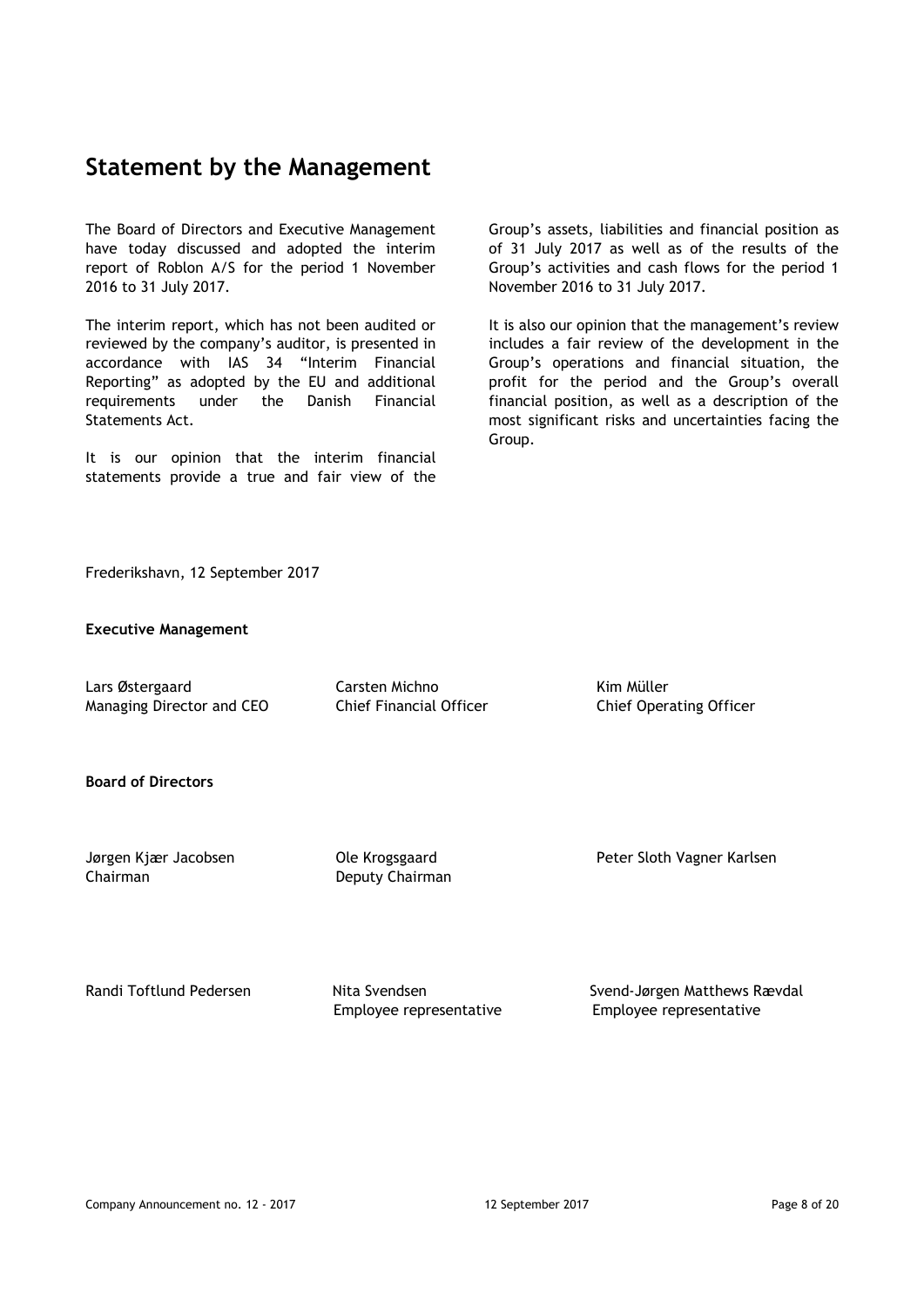## **Statement by the Management**

The Board of Directors and Executive Management have today discussed and adopted the interim report of Roblon A/S for the period 1 November 2016 to 31 July 2017.

The interim report, which has not been audited or reviewed by the company's auditor, is presented in accordance with IAS 34 "Interim Financial Reporting" as adopted by the EU and additional requirements under the Danish Financial Statements Act.

It is our opinion that the interim financial statements provide a true and fair view of the

Group's assets, liabilities and financial position as of 31 July 2017 as well as of the results of the Group's activities and cash flows for the period 1 November 2016 to 31 July 2017.

It is also our opinion that the management's review includes a fair review of the development in the Group's operations and financial situation, the profit for the period and the Group's overall financial position, as well as a description of the most significant risks and uncertainties facing the Group.

Frederikshavn, 12 September 2017

#### **Executive Management**

Lars Østergaard Carsten Michno Kim Müller Managing Director and CEO Chief Financial Officer Chief Operating Officer

**Board of Directors** 

Chairman Deputy Chairman

Jørgen Kjær Jacobsen Ole Krogsgaard Peter Sloth Vagner Karlsen

Randi Toftlund Pedersen Nita Svendsen Svend-Jørgen Matthews Rævdal Employee representative Employee representative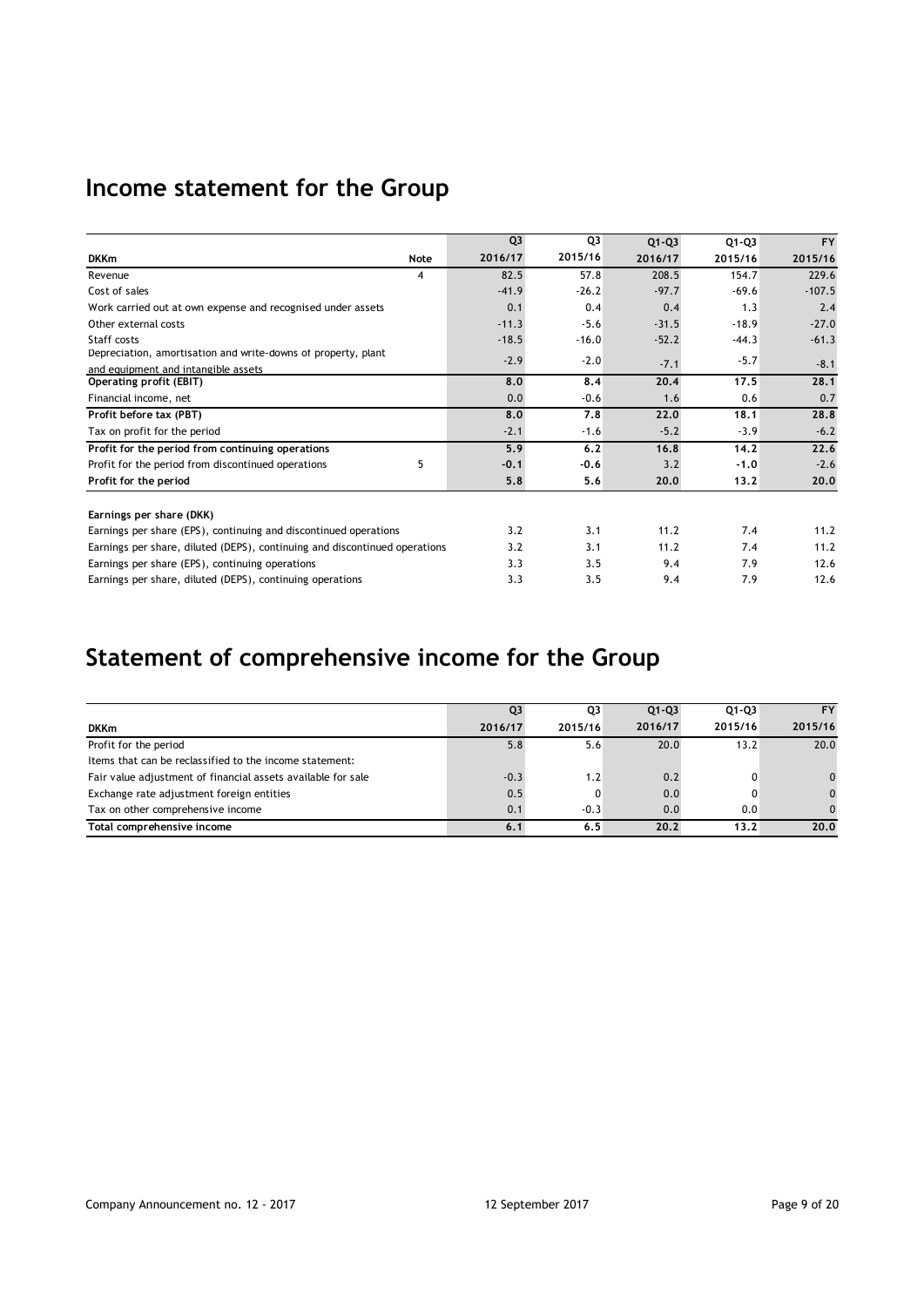# **Income statement for the Group**

|                                                                            |      | Q <sub>3</sub> | Q3      | $Q1 - Q3$ | $Q1 - Q3$ | <b>FY</b> |
|----------------------------------------------------------------------------|------|----------------|---------|-----------|-----------|-----------|
| <b>DKKm</b>                                                                | Note | 2016/17        | 2015/16 | 2016/17   | 2015/16   | 2015/16   |
| Revenue                                                                    | 4    | 82.5           | 57.8    | 208.5     | 154.7     | 229.6     |
| Cost of sales                                                              |      | $-41.9$        | $-26.2$ | $-97.7$   | $-69.6$   | $-107.5$  |
| Work carried out at own expense and recognised under assets                |      | 0.1            | 0.4     | 0.4       | 1.3       | 2.4       |
| Other external costs                                                       |      | $-11.3$        | $-5.6$  | $-31.5$   | $-18.9$   | $-27.0$   |
| Staff costs                                                                |      | $-18.5$        | $-16.0$ | $-52.2$   | $-44.3$   | $-61.3$   |
| Depreciation, amortisation and write-downs of property, plant              |      | $-2.9$         | $-2.0$  |           | $-5.7$    |           |
| and equipment and intangible assets                                        |      |                |         | $-7.1$    |           | $-8.1$    |
| Operating profit (EBIT)                                                    |      | 8.0            | 8.4     | 20.4      | 17.5      | 28.1      |
| Financial income, net                                                      |      | 0.0            | $-0.6$  | 1.6       | 0.6       | 0.7       |
| Profit before tax (PBT)                                                    |      | 8.0            | 7.8     | 22.0      | 18.1      | 28.8      |
| Tax on profit for the period                                               |      | $-2.1$         | $-1.6$  | $-5.2$    | $-3.9$    | $-6.2$    |
| Profit for the period from continuing operations                           |      | 5.9            | 6.2     | 16.8      | 14.2      | 22.6      |
| Profit for the period from discontinued operations                         | 5    | $-0.1$         | $-0.6$  | 3.2       | $-1.0$    | $-2.6$    |
| Profit for the period                                                      |      | 5.8            | 5.6     | 20.0      | 13.2      | 20.0      |
| Earnings per share (DKK)                                                   |      |                |         |           |           |           |
| Earnings per share (EPS), continuing and discontinued operations           |      | 3.2            | 3.1     | 11.2      | 7.4       | 11.2      |
| Earnings per share, diluted (DEPS), continuing and discontinued operations |      | 3.2            | 3.1     | 11.2      | 7.4       | 11.2      |
| Earnings per share (EPS), continuing operations                            |      | 3.3            | 3.5     | 9.4       | 7.9       | 12.6      |
| Earnings per share, diluted (DEPS), continuing operations                  |      | 3.3            | 3.5     | 9.4       | 7.9       | 12.6      |

# **Statement of comprehensive income for the Group**

|                                                              | 03      | Q3      | $Q1 - Q3$ | $Q1 - Q3$ | <b>FY</b> |
|--------------------------------------------------------------|---------|---------|-----------|-----------|-----------|
| <b>DKKm</b>                                                  | 2016/17 | 2015/16 | 2016/17   | 2015/16   | 2015/16   |
| Profit for the period                                        | 5.8     | 5.6     | 20.0      | 13.2      | 20.0      |
| Items that can be reclassified to the income statement:      |         |         |           |           |           |
| Fair value adjustment of financial assets available for sale | $-0.3$  | 1.2     | 0.2       |           | 0         |
| Exchange rate adjustment foreign entities                    | 0.5     |         | 0.0       |           | $\Omega$  |
| Tax on other comprehensive income                            | 0.1     | $-0.3$  | 0.0       | 0.0       | $\Omega$  |
| Total comprehensive income                                   | 6.1     | 6.5     | 20.2      | 13.2      | 20.0      |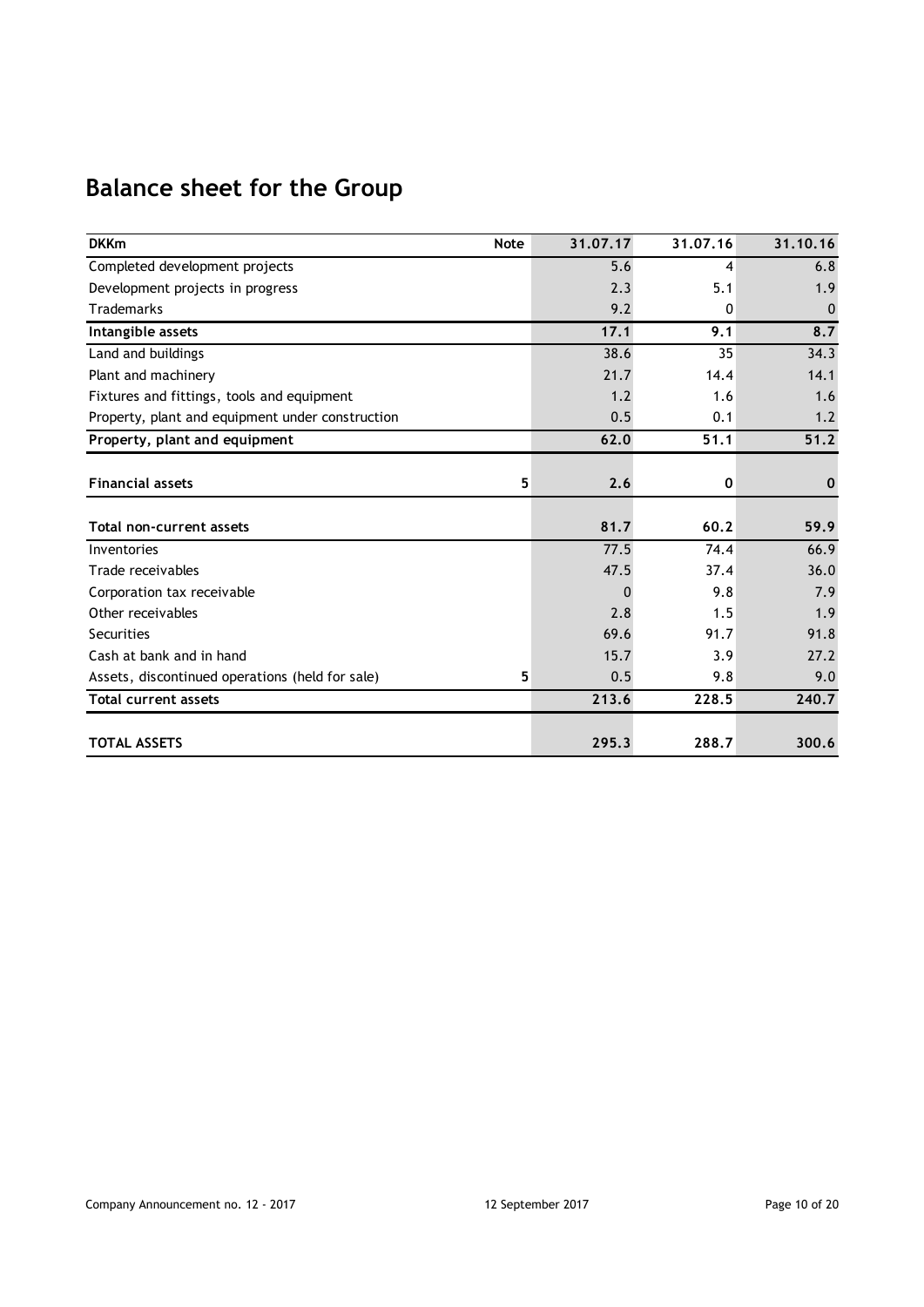# **Balance sheet for the Group**

| <b>DKKm</b><br><b>Note</b>                       | 31.07.17 | 31.07.16 | 31.10.16     |
|--------------------------------------------------|----------|----------|--------------|
| Completed development projects                   | 5.6      | 4        | 6.8          |
| Development projects in progress                 | 2.3      | 5.1      | 1.9          |
| <b>Trademarks</b>                                | 9.2      | 0        | $\mathbf 0$  |
| Intangible assets                                | 17.1     | 9.1      | 8.7          |
| Land and buildings                               | 38.6     | 35       | 34.3         |
| Plant and machinery                              | 21.7     | 14.4     | 14.1         |
| Fixtures and fittings, tools and equipment       | 1.2      | 1.6      | 1.6          |
| Property, plant and equipment under construction | 0.5      | 0.1      | 1.2          |
| Property, plant and equipment                    | 62.0     | 51.1     | 51.2         |
|                                                  |          |          |              |
| <b>Financial assets</b>                          | 5<br>2.6 | 0        | $\mathbf{0}$ |
|                                                  |          |          |              |
| Total non-current assets                         | 81.7     | 60.2     | 59.9         |
| Inventories                                      | 77.5     | 74.4     | 66.9         |
| Trade receivables                                | 47.5     | 37.4     | 36.0         |
| Corporation tax receivable                       | O        | 9.8      | 7.9          |
| Other receivables                                | 2.8      | 1.5      | 1.9          |
| Securities                                       | 69.6     | 91.7     | 91.8         |
| Cash at bank and in hand                         | 15.7     | 3.9      | 27.2         |
| Assets, discontinued operations (held for sale)  | 5<br>0.5 | 9.8      | 9.0          |
| <b>Total current assets</b>                      | 213.6    | 228.5    | 240.7        |
|                                                  |          |          |              |
| <b>TOTAL ASSETS</b>                              | 295.3    | 288.7    | 300.6        |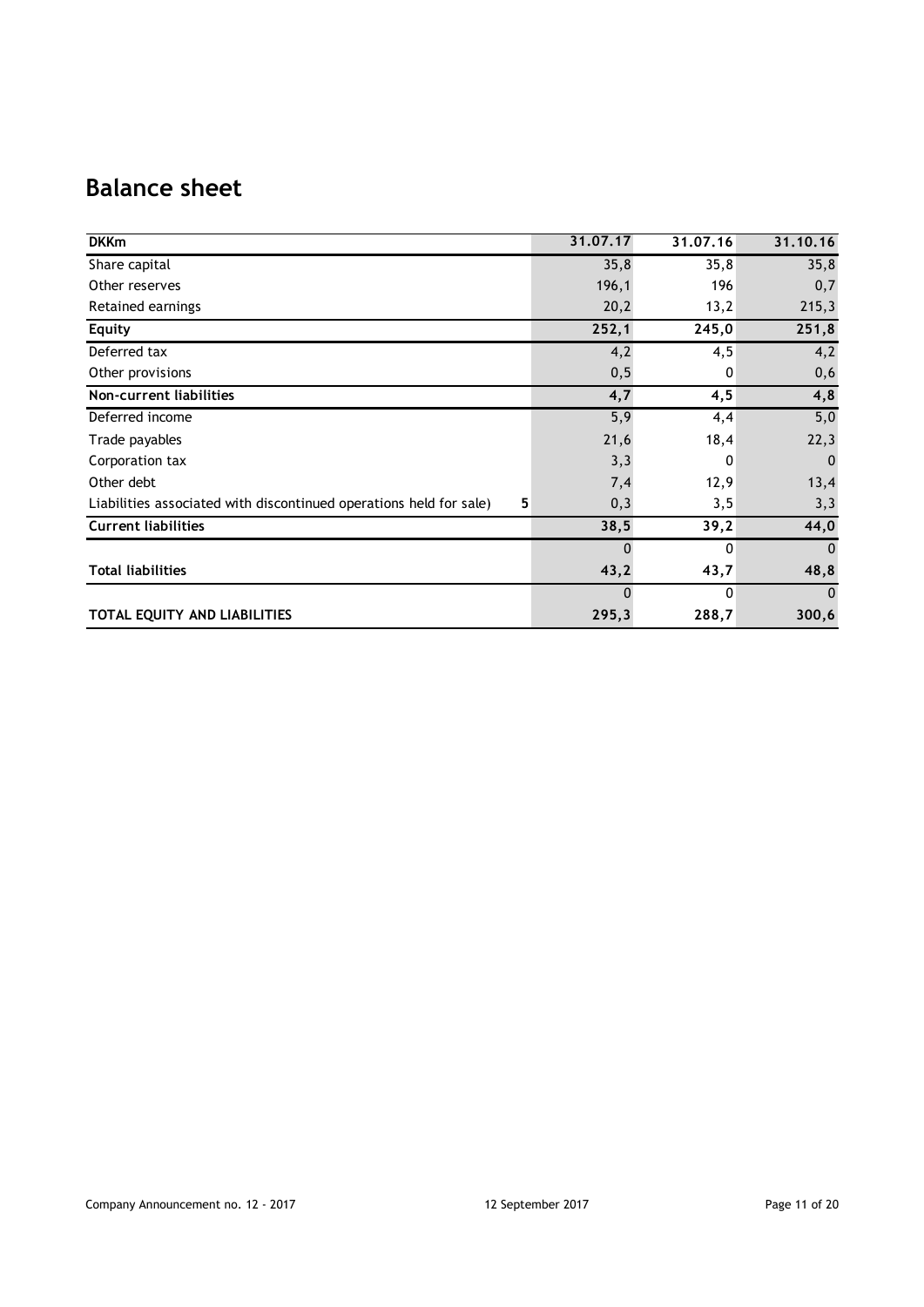# **Balance sheet**

| <b>DKKm</b>                                                             | 31.07.17 | 31.07.16     | 31.10.16     |
|-------------------------------------------------------------------------|----------|--------------|--------------|
| Share capital                                                           | 35,8     | 35,8         | 35,8         |
| Other reserves                                                          | 196,1    | 196          | 0,7          |
| Retained earnings                                                       | 20,2     | 13,2         | 215,3        |
| Equity                                                                  | 252,1    | 245,0        | 251,8        |
| Deferred tax                                                            | 4,2      | 4,5          | 4,2          |
| Other provisions                                                        | 0, 5     | $\mathbf{0}$ | 0,6          |
| Non-current liabilities                                                 | 4,7      | 4,5          | 4,8          |
| Deferred income                                                         | 5,9      | 4,4          | 5,0          |
| Trade payables                                                          | 21,6     | 18,4         | 22,3         |
| Corporation tax                                                         | 3,3      | 0            | $\mathbf 0$  |
| Other debt                                                              | 7,4      | 12,9         | 13,4         |
| Liabilities associated with discontinued operations held for sale)<br>5 | 0,3      | 3,5          | 3,3          |
| <b>Current liabilities</b>                                              | 38,5     | 39,2         | 44,0         |
|                                                                         | $\Omega$ | 0            | $\mathbf{0}$ |
| <b>Total liabilities</b>                                                | 43,2     | 43,7         | 48,8         |
|                                                                         | $\Omega$ | $\Omega$     | $\mathbf{0}$ |
| TOTAL EQUITY AND LIABILITIES                                            | 295,3    | 288,7        | 300,6        |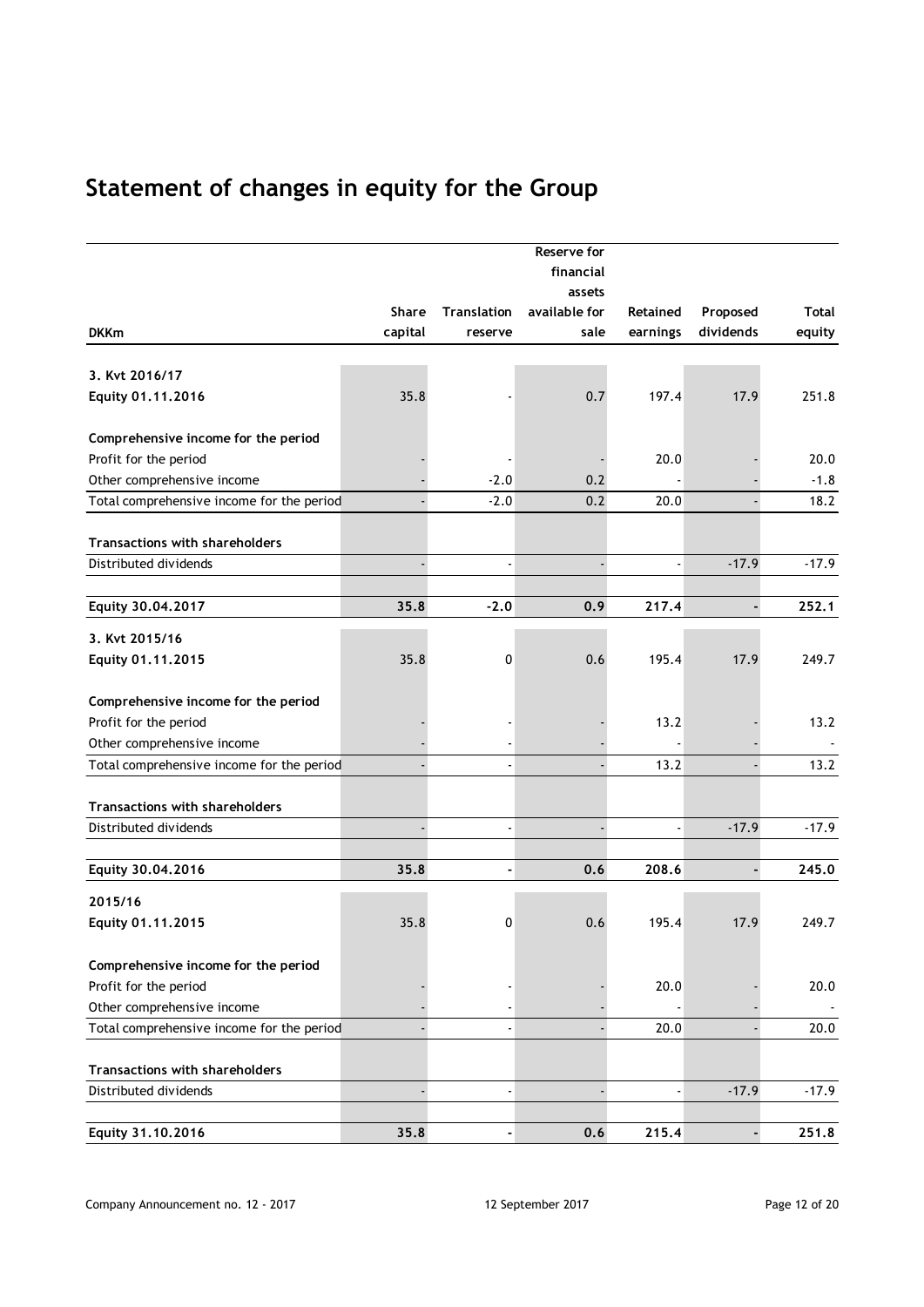# **Statement of changes in equity for the Group**

|                                           |              |                    | Reserve for<br>financial |          |           |         |
|-------------------------------------------|--------------|--------------------|--------------------------|----------|-----------|---------|
|                                           |              |                    | assets                   |          |           |         |
|                                           | <b>Share</b> | <b>Translation</b> | available for            | Retained | Proposed  | Total   |
| <b>DKKm</b>                               | capital      | reserve            | sale                     | earnings | dividends | equity  |
|                                           |              |                    |                          |          |           |         |
| 3. Kvt 2016/17                            |              |                    |                          |          |           |         |
| Equity 01.11.2016                         | 35.8         |                    | 0.7                      | 197.4    | 17.9      | 251.8   |
|                                           |              |                    |                          |          |           |         |
| Comprehensive income for the period       |              |                    |                          |          |           |         |
| Profit for the period                     |              |                    |                          | 20.0     |           | 20.0    |
| Other comprehensive income                |              | $-2.0$             | 0.2                      |          |           | $-1.8$  |
| Total comprehensive income for the period |              | $-2.0$             | 0.2                      | 20.0     |           | 18.2    |
|                                           |              |                    |                          |          |           |         |
| Transactions with shareholders            |              |                    |                          |          |           |         |
| Distributed dividends                     |              |                    |                          |          | $-17.9$   | $-17.9$ |
|                                           |              |                    |                          |          |           |         |
| Equity 30.04.2017                         | 35.8         | $-2.0$             | 0.9                      | 217.4    |           | 252.1   |
| 3. Kvt 2015/16                            |              |                    |                          |          |           |         |
| Equity 01.11.2015                         | 35.8         | 0                  | 0.6                      | 195.4    | 17.9      | 249.7   |
|                                           |              |                    |                          |          |           |         |
| Comprehensive income for the period       |              |                    |                          |          |           |         |
| Profit for the period                     |              |                    |                          | 13.2     |           | 13.2    |
| Other comprehensive income                |              |                    |                          |          |           |         |
| Total comprehensive income for the period |              |                    |                          | 13.2     |           | 13.2    |
|                                           |              |                    |                          |          |           |         |
| <b>Transactions with shareholders</b>     |              |                    |                          |          |           |         |
| Distributed dividends                     |              |                    |                          |          | $-17.9$   | $-17.9$ |
|                                           |              |                    |                          |          |           |         |
| Equity 30.04.2016                         | 35.8         | ۰                  | 0.6                      | 208.6    | ä,        | 245.0   |
| 2015/16                                   |              |                    |                          |          |           |         |
| Equity 01.11.2015                         | 35.8         | 0                  | 0.6                      | 195.4    | 17.9      | 249.7   |
|                                           |              |                    |                          |          |           |         |
| Comprehensive income for the period       |              |                    |                          |          |           |         |
| Profit for the period                     |              |                    |                          | 20.0     |           | 20.0    |
| Other comprehensive income                |              |                    |                          |          |           |         |
| Total comprehensive income for the period |              |                    |                          | 20.0     |           | 20.0    |
|                                           |              |                    |                          |          |           |         |
| Transactions with shareholders            |              |                    |                          |          |           |         |
| Distributed dividends                     |              |                    |                          |          | $-17.9$   | $-17.9$ |
|                                           |              |                    |                          |          |           |         |
| Equity 31.10.2016                         | 35.8         |                    | 0.6                      | 215.4    | ÷,        | 251.8   |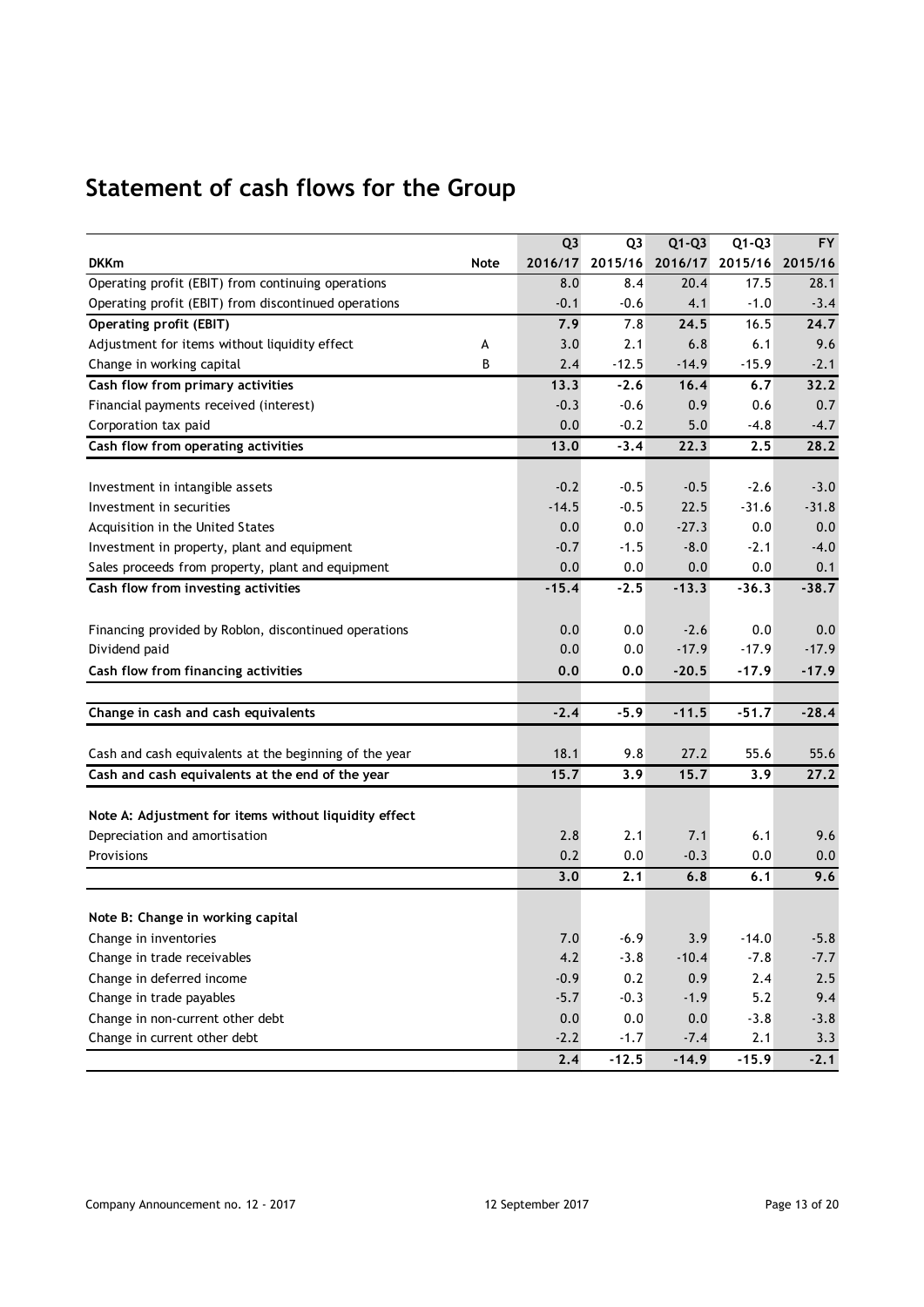# **Statement of cash flows for the Group**

|                                                        |      | Q <sub>3</sub> | Q <sub>3</sub> | $Q1-Q3$ | $Q1-Q3$ | <b>FY</b>       |
|--------------------------------------------------------|------|----------------|----------------|---------|---------|-----------------|
| <b>DKKm</b>                                            | Note | 2016/17        | 2015/16        | 2016/17 |         | 2015/16 2015/16 |
| Operating profit (EBIT) from continuing operations     |      | 8.0            | 8.4            | 20.4    | 17.5    | 28.1            |
| Operating profit (EBIT) from discontinued operations   |      | $-0.1$         | $-0.6$         | 4.1     | $-1.0$  | $-3.4$          |
| Operating profit (EBIT)                                |      | 7.9            | 7.8            | 24.5    | 16.5    | 24.7            |
| Adjustment for items without liquidity effect          | А    | 3.0            | 2.1            | 6.8     | 6.1     | 9.6             |
| Change in working capital                              | В    | 2.4            | $-12.5$        | $-14.9$ | $-15.9$ | $-2.1$          |
| Cash flow from primary activities                      |      | 13.3           | $-2.6$         | 16.4    | 6.7     | 32.2            |
| Financial payments received (interest)                 |      | $-0.3$         | $-0.6$         | 0.9     | 0.6     | 0.7             |
| Corporation tax paid                                   |      | 0.0            | $-0.2$         | 5.0     | $-4.8$  | $-4.7$          |
| Cash flow from operating activities                    |      | 13.0           | $-3.4$         | 22.3    | 2.5     | 28.2            |
| Investment in intangible assets                        |      | $-0.2$         | $-0.5$         | $-0.5$  | $-2.6$  | $-3.0$          |
| Investment in securities                               |      | $-14.5$        | $-0.5$         | 22.5    | $-31.6$ | $-31.8$         |
| Acquisition in the United States                       |      | 0.0            | 0.0            | $-27.3$ | 0.0     | 0.0             |
| Investment in property, plant and equipment            |      | $-0.7$         | $-1.5$         | $-8.0$  | $-2.1$  | $-4.0$          |
| Sales proceeds from property, plant and equipment      |      | 0.0            | 0.0            | 0.0     | 0.0     | 0.1             |
| Cash flow from investing activities                    |      | $-15.4$        | $-2.5$         | $-13.3$ | $-36.3$ | $-38.7$         |
|                                                        |      |                |                |         |         |                 |
| Financing provided by Roblon, discontinued operations  |      | 0.0            | 0.0            | $-2.6$  | 0.0     | 0.0             |
| Dividend paid                                          |      | 0.0            | 0.0            | $-17.9$ | $-17.9$ | $-17.9$         |
| Cash flow from financing activities                    |      | 0.0            | 0,0            | $-20.5$ | $-17.9$ | $-17.9$         |
| Change in cash and cash equivalents                    |      | $-2.4$         | $-5.9$         | $-11.5$ | $-51.7$ | $-28.4$         |
|                                                        |      |                |                |         |         |                 |
| Cash and cash equivalents at the beginning of the year |      | 18.1           | 9.8            | 27.2    | 55.6    | 55.6            |
| Cash and cash equivalents at the end of the year       |      | 15.7           | 3.9            | 15.7    | 3.9     | 27.2            |
| Note A: Adjustment for items without liquidity effect  |      |                |                |         |         |                 |
| Depreciation and amortisation                          |      | 2.8            | 2.1            | 7.1     | 6.1     | 9.6             |
| Provisions                                             |      | 0.2            | 0.0            | $-0.3$  | 0.0     | 0.0             |
|                                                        |      | 3.0            | 2.1            | 6.8     | 6.1     | 9.6             |
|                                                        |      |                |                |         |         |                 |
| Note B: Change in working capital                      |      |                |                |         |         |                 |
| Change in inventories                                  |      | $7.0$          | $-6.9$         | 3.9     | $-14.0$ | $-5.8$          |
| Change in trade receivables                            |      | 4.2            | $-3.8$         | $-10.4$ | $-7.8$  | $-7.7$          |
| Change in deferred income                              |      | $-0.9$         | 0.2            | 0.9     | 2.4     | 2.5             |
| Change in trade payables                               |      | $-5.7$         | $-0.3$         | $-1.9$  | 5.2     | 9.4             |
| Change in non-current other debt                       |      | 0.0            | 0.0            | 0.0     | $-3.8$  | $-3.8$          |
| Change in current other debt                           |      | $-2.2$         | $-1.7$         | $-7.4$  | 2.1     | 3.3             |
|                                                        |      | 2.4            | $-12.5$        | $-14.9$ | $-15.9$ | $-2.1$          |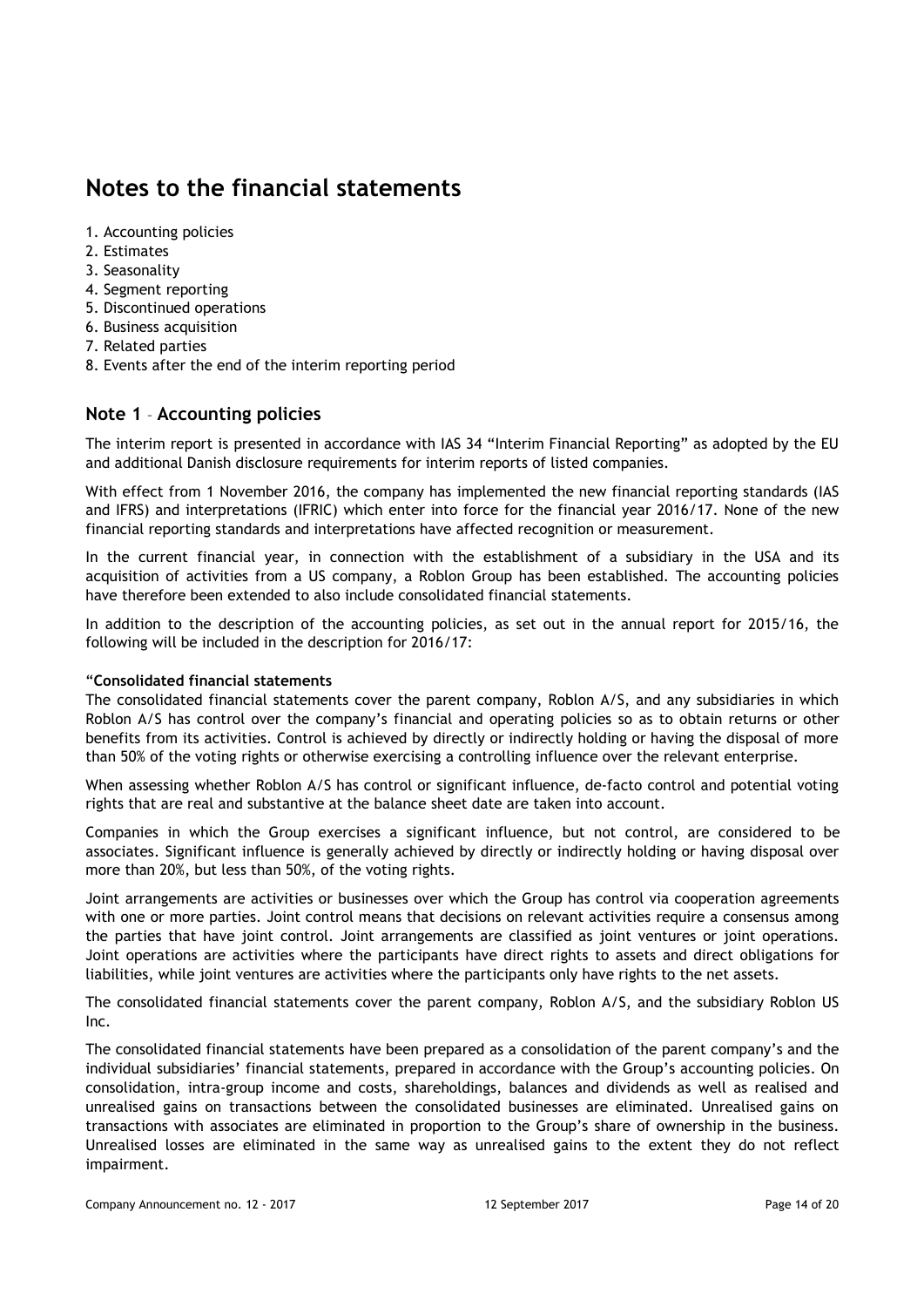## **Notes to the financial statements**

- 1. Accounting policies
- 2. Estimates
- 3. Seasonality
- 4. Segment reporting
- 5. Discontinued operations
- 6. Business acquisition
- 7. Related parties
- 8. Events after the end of the interim reporting period

## **Note 1** – **Accounting policies**

The interim report is presented in accordance with IAS 34 "Interim Financial Reporting" as adopted by the EU and additional Danish disclosure requirements for interim reports of listed companies.

With effect from 1 November 2016, the company has implemented the new financial reporting standards (IAS and IFRS) and interpretations (IFRIC) which enter into force for the financial year 2016/17. None of the new financial reporting standards and interpretations have affected recognition or measurement.

In the current financial year, in connection with the establishment of a subsidiary in the USA and its acquisition of activities from a US company, a Roblon Group has been established. The accounting policies have therefore been extended to also include consolidated financial statements.

In addition to the description of the accounting policies, as set out in the annual report for 2015/16, the following will be included in the description for 2016/17:

#### "**Consolidated financial statements**

The consolidated financial statements cover the parent company, Roblon A/S, and any subsidiaries in which Roblon A/S has control over the company's financial and operating policies so as to obtain returns or other benefits from its activities. Control is achieved by directly or indirectly holding or having the disposal of more than 50% of the voting rights or otherwise exercising a controlling influence over the relevant enterprise.

When assessing whether Roblon A/S has control or significant influence, de-facto control and potential voting rights that are real and substantive at the balance sheet date are taken into account.

Companies in which the Group exercises a significant influence, but not control, are considered to be associates. Significant influence is generally achieved by directly or indirectly holding or having disposal over more than 20%, but less than 50%, of the voting rights.

Joint arrangements are activities or businesses over which the Group has control via cooperation agreements with one or more parties. Joint control means that decisions on relevant activities require a consensus among the parties that have joint control. Joint arrangements are classified as joint ventures or joint operations. Joint operations are activities where the participants have direct rights to assets and direct obligations for liabilities, while joint ventures are activities where the participants only have rights to the net assets.

The consolidated financial statements cover the parent company, Roblon A/S, and the subsidiary Roblon US Inc.

The consolidated financial statements have been prepared as a consolidation of the parent company's and the individual subsidiaries' financial statements, prepared in accordance with the Group's accounting policies. On consolidation, intra-group income and costs, shareholdings, balances and dividends as well as realised and unrealised gains on transactions between the consolidated businesses are eliminated. Unrealised gains on transactions with associates are eliminated in proportion to the Group's share of ownership in the business. Unrealised losses are eliminated in the same way as unrealised gains to the extent they do not reflect impairment.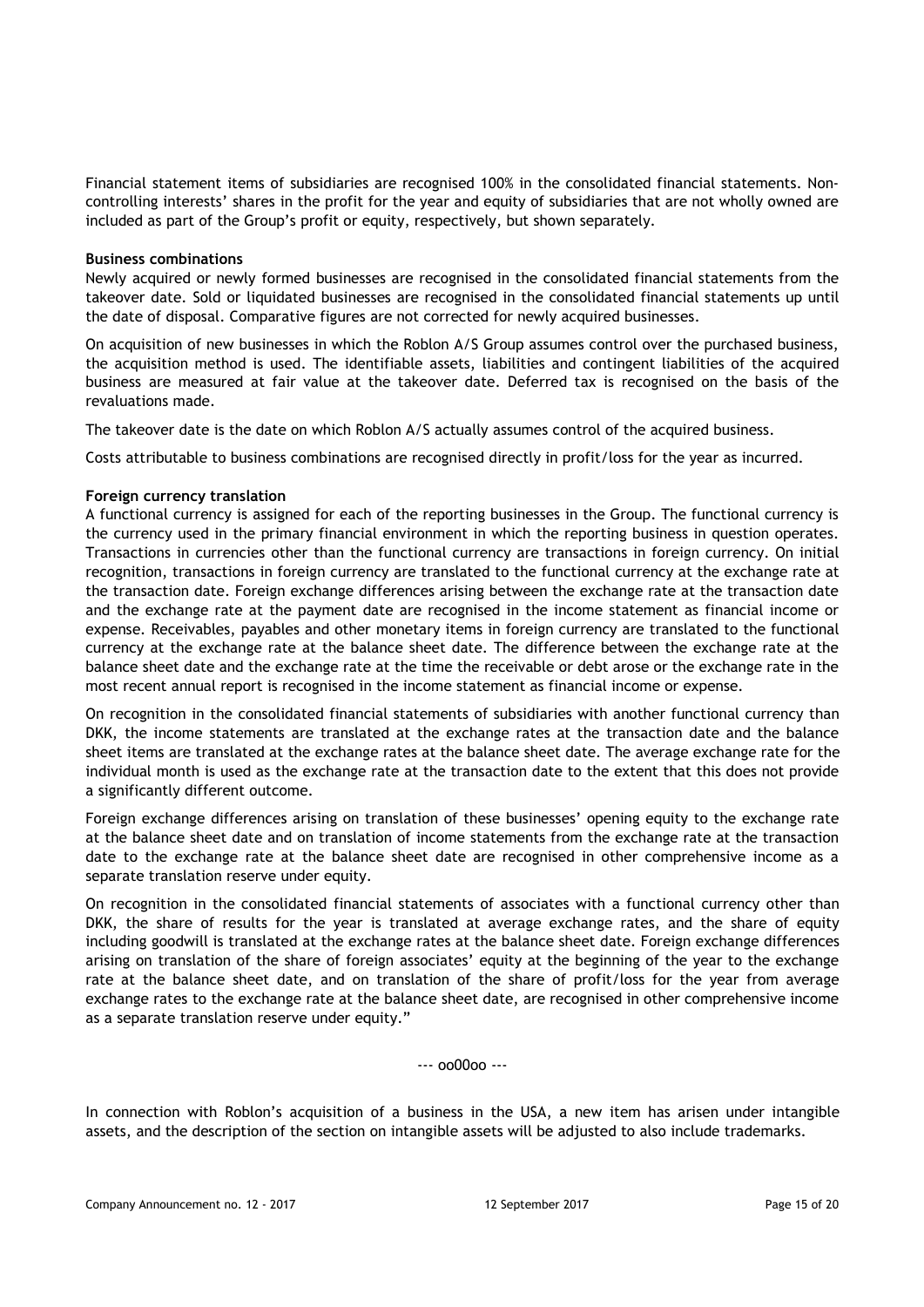Financial statement items of subsidiaries are recognised 100% in the consolidated financial statements. Noncontrolling interests' shares in the profit for the year and equity of subsidiaries that are not wholly owned are included as part of the Group's profit or equity, respectively, but shown separately.

#### **Business combinations**

Newly acquired or newly formed businesses are recognised in the consolidated financial statements from the takeover date. Sold or liquidated businesses are recognised in the consolidated financial statements up until the date of disposal. Comparative figures are not corrected for newly acquired businesses.

On acquisition of new businesses in which the Roblon A/S Group assumes control over the purchased business, the acquisition method is used. The identifiable assets, liabilities and contingent liabilities of the acquired business are measured at fair value at the takeover date. Deferred tax is recognised on the basis of the revaluations made.

The takeover date is the date on which Roblon A/S actually assumes control of the acquired business.

Costs attributable to business combinations are recognised directly in profit/loss for the year as incurred.

#### **Foreign currency translation**

A functional currency is assigned for each of the reporting businesses in the Group. The functional currency is the currency used in the primary financial environment in which the reporting business in question operates. Transactions in currencies other than the functional currency are transactions in foreign currency. On initial recognition, transactions in foreign currency are translated to the functional currency at the exchange rate at the transaction date. Foreign exchange differences arising between the exchange rate at the transaction date and the exchange rate at the payment date are recognised in the income statement as financial income or expense. Receivables, payables and other monetary items in foreign currency are translated to the functional currency at the exchange rate at the balance sheet date. The difference between the exchange rate at the balance sheet date and the exchange rate at the time the receivable or debt arose or the exchange rate in the most recent annual report is recognised in the income statement as financial income or expense.

On recognition in the consolidated financial statements of subsidiaries with another functional currency than DKK, the income statements are translated at the exchange rates at the transaction date and the balance sheet items are translated at the exchange rates at the balance sheet date. The average exchange rate for the individual month is used as the exchange rate at the transaction date to the extent that this does not provide a significantly different outcome.

Foreign exchange differences arising on translation of these businesses' opening equity to the exchange rate at the balance sheet date and on translation of income statements from the exchange rate at the transaction date to the exchange rate at the balance sheet date are recognised in other comprehensive income as a separate translation reserve under equity.

On recognition in the consolidated financial statements of associates with a functional currency other than DKK, the share of results for the year is translated at average exchange rates, and the share of equity including goodwill is translated at the exchange rates at the balance sheet date. Foreign exchange differences arising on translation of the share of foreign associates' equity at the beginning of the year to the exchange rate at the balance sheet date, and on translation of the share of profit/loss for the year from average exchange rates to the exchange rate at the balance sheet date, are recognised in other comprehensive income as a separate translation reserve under equity."

 $-00000 -$ 

In connection with Roblon's acquisition of a business in the USA, a new item has arisen under intangible assets, and the description of the section on intangible assets will be adjusted to also include trademarks.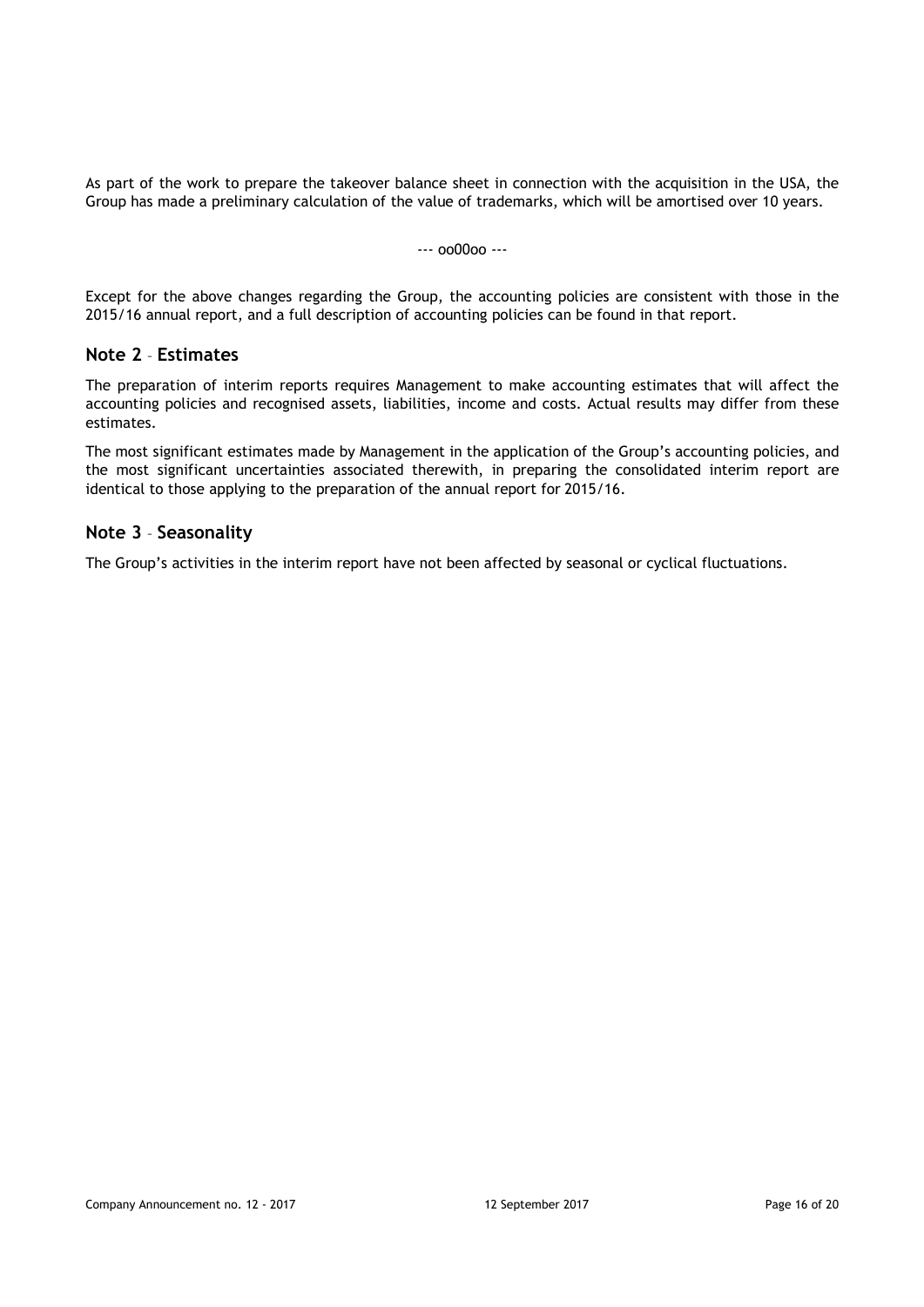As part of the work to prepare the takeover balance sheet in connection with the acquisition in the USA, the Group has made a preliminary calculation of the value of trademarks, which will be amortised over 10 years.

#### --- oo00oo ---

Except for the above changes regarding the Group, the accounting policies are consistent with those in the 2015/16 annual report, and a full description of accounting policies can be found in that report.

## **Note 2** – **Estimates**

The preparation of interim reports requires Management to make accounting estimates that will affect the accounting policies and recognised assets, liabilities, income and costs. Actual results may differ from these estimates.

The most significant estimates made by Management in the application of the Group's accounting policies, and the most significant uncertainties associated therewith, in preparing the consolidated interim report are identical to those applying to the preparation of the annual report for 2015/16.

### **Note 3** – **Seasonality**

The Group's activities in the interim report have not been affected by seasonal or cyclical fluctuations.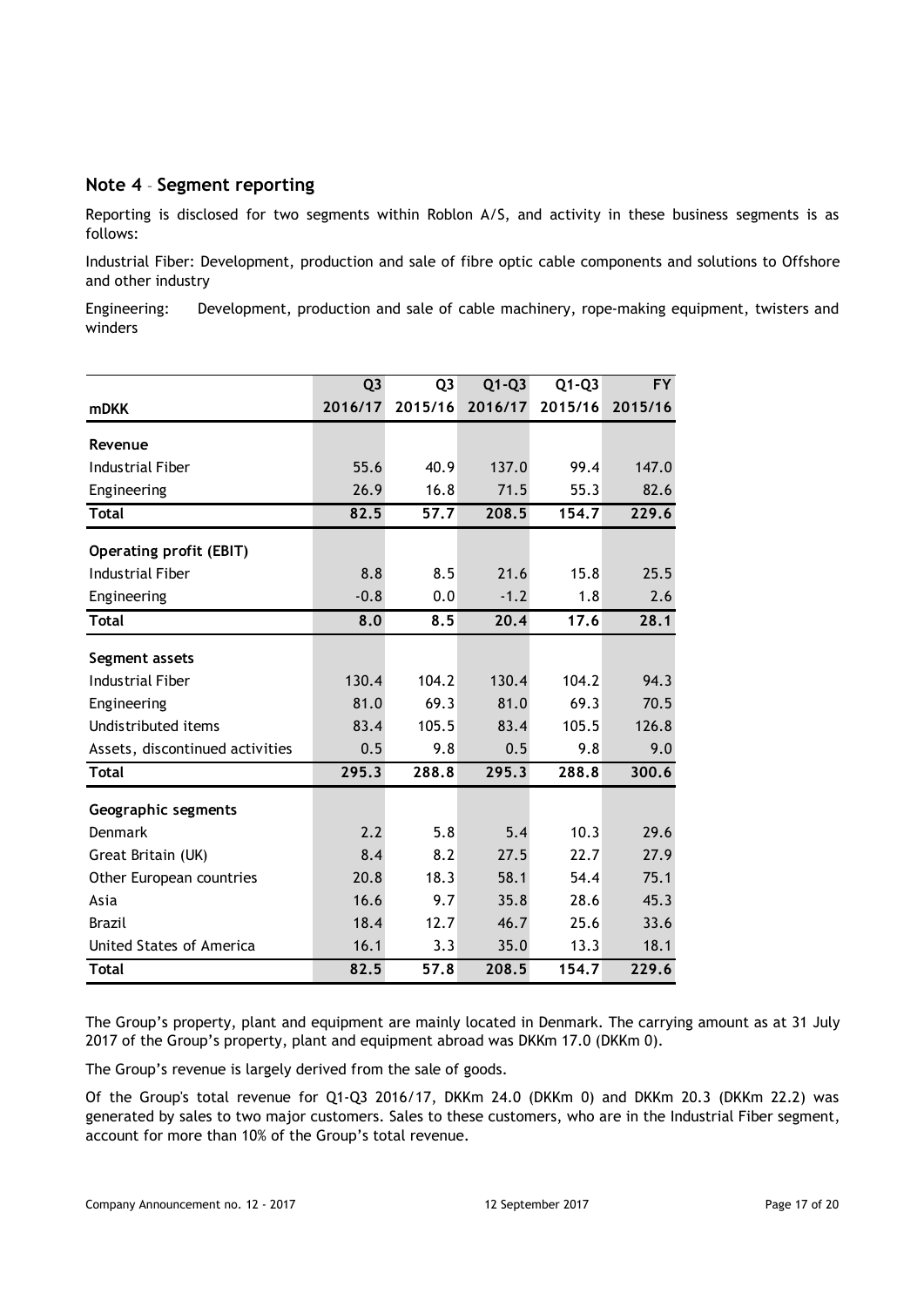## **Note 4** – **Segment reporting**

Reporting is disclosed for two segments within Roblon A/S, and activity in these business segments is as follows:

Industrial Fiber: Development, production and sale of fibre optic cable components and solutions to Offshore and other industry

Engineering: Development, production and sale of cable machinery, rope-making equipment, twisters and winders

|                                 | Q <sub>3</sub> | Q <sub>3</sub> | $Q1-Q3$ | $Q1-Q3$ | <b>FY</b> |
|---------------------------------|----------------|----------------|---------|---------|-----------|
| <b>mDKK</b>                     | 2016/17        | 2015/16        | 2016/17 | 2015/16 | 2015/16   |
| Revenue                         |                |                |         |         |           |
| <b>Industrial Fiber</b>         | 55.6           | 40.9           | 137.0   | 99.4    | 147.0     |
| Engineering                     | 26.9           | 16.8           | 71.5    | 55.3    | 82.6      |
| <b>Total</b>                    | 82.5           | 57.7           | 208.5   | 154.7   | 229.6     |
| <b>Operating profit (EBIT)</b>  |                |                |         |         |           |
| <b>Industrial Fiber</b>         | 8.8            | 8.5            | 21.6    | 15.8    | 25.5      |
| Engineering                     | $-0.8$         | 0.0            | $-1.2$  | 1.8     | 2.6       |
| <b>Total</b>                    | 8.0            | 8.5            | 20.4    | 17.6    | 28.1      |
| Segment assets                  |                |                |         |         |           |
| <b>Industrial Fiber</b>         | 130.4          | 104.2          | 130.4   | 104.2   | 94.3      |
| Engineering                     | 81.0           | 69.3           | 81.0    | 69.3    | 70.5      |
| Undistributed items             | 83.4           | 105.5          | 83.4    | 105.5   | 126.8     |
| Assets, discontinued activities | 0.5            | 9.8            | 0.5     | 9.8     | 9.0       |
| <b>Total</b>                    | 295.3          | 288.8          | 295.3   | 288.8   | 300.6     |
| Geographic segments             |                |                |         |         |           |
| <b>Denmark</b>                  | 2.2            | 5.8            | 5.4     | 10.3    | 29.6      |
| Great Britain (UK)              | 8.4            | 8.2            | 27.5    | 22.7    | 27.9      |
| Other European countries        | 20.8           | 18.3           | 58.1    | 54.4    | 75.1      |
| Asia                            | 16.6           | 9.7            | 35.8    | 28.6    | 45.3      |
| <b>Brazil</b>                   | 18.4           | 12.7           | 46.7    | 25.6    | 33.6      |
| United States of America        | 16.1           | 3.3            | 35.0    | 13.3    | 18.1      |
| <b>Total</b>                    | 82.5           | 57.8           | 208.5   | 154.7   | 229.6     |

The Group's property, plant and equipment are mainly located in Denmark. The carrying amount as at 31 July 2017 of the Group's property, plant and equipment abroad was DKKm 17.0 (DKKm 0).

The Group's revenue is largely derived from the sale of goods.

Of the Group's total revenue for Q1-Q3 2016/17, DKKm 24.0 (DKKm 0) and DKKm 20.3 (DKKm 22.2) was generated by sales to two major customers. Sales to these customers, who are in the Industrial Fiber segment, account for more than 10% of the Group's total revenue.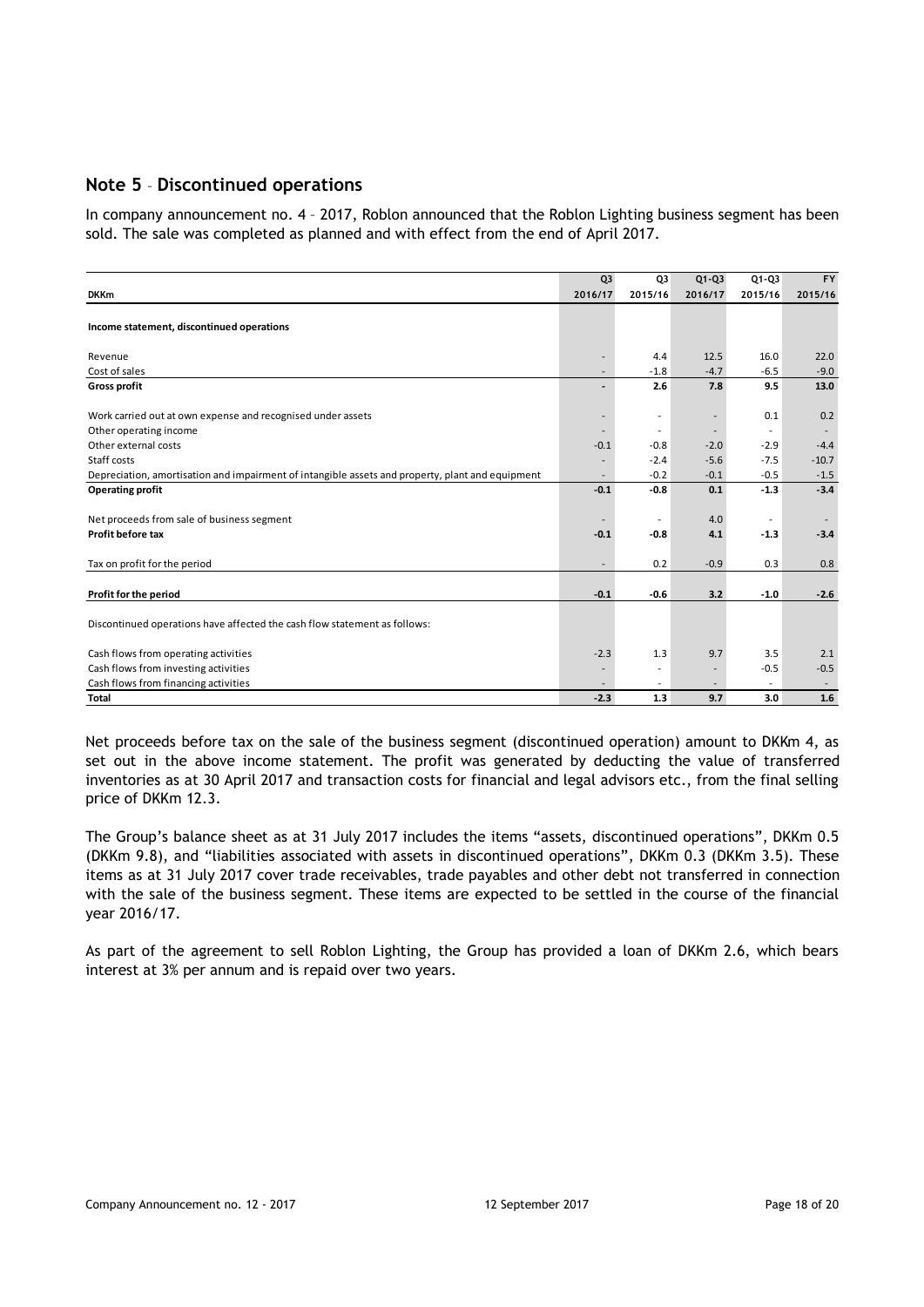## **Note 5** – **Discontinued operations**

In company announcement no. 4 – 2017, Roblon announced that the Roblon Lighting business segment has been sold. The sale was completed as planned and with effect from the end of April 2017.

|                                                                                                  | Q <sub>3</sub>               | Q3                       | $Q1 - Q3$                | $Q1 - Q3$                | <b>FY</b>      |
|--------------------------------------------------------------------------------------------------|------------------------------|--------------------------|--------------------------|--------------------------|----------------|
| <b>DKKm</b>                                                                                      | 2016/17                      | 2015/16                  | 2016/17                  | 2015/16                  | 2015/16        |
|                                                                                                  |                              |                          |                          |                          |                |
| Income statement, discontinued operations                                                        |                              |                          |                          |                          |                |
|                                                                                                  |                              | 4.4                      | 12.5                     | 16.0                     |                |
| Revenue<br>Cost of sales                                                                         | ٠                            | $-1.8$                   | $-4.7$                   | $-6.5$                   | 22.0<br>$-9.0$ |
| <b>Gross profit</b>                                                                              | $\qquad \qquad \blacksquare$ | 2.6                      | 7.8                      | 9.5                      | 13.0           |
|                                                                                                  |                              |                          |                          |                          |                |
| Work carried out at own expense and recognised under assets                                      |                              | $\overline{\phantom{a}}$ | $\overline{\phantom{a}}$ | 0.1                      | 0.2            |
| Other operating income                                                                           |                              | $\sim$                   | $\overline{\phantom{a}}$ |                          |                |
| Other external costs                                                                             | $-0.1$                       | $-0.8$                   | $-2.0$                   | $-2.9$                   | $-4.4$         |
| Staff costs                                                                                      |                              | $-2.4$                   | $-5.6$                   | $-7.5$                   | $-10.7$        |
| Depreciation, amortisation and impairment of intangible assets and property, plant and equipment | $\overline{\phantom{a}}$     | $-0.2$                   | $-0.1$                   | $-0.5$                   | $-1.5$         |
| <b>Operating profit</b>                                                                          | $-0.1$                       | $-0.8$                   | 0.1                      | $-1.3$                   | $-3.4$         |
|                                                                                                  |                              |                          |                          |                          |                |
| Net proceeds from sale of business segment                                                       |                              | ٠                        | 4.0                      | $\overline{\phantom{a}}$ |                |
| Profit before tax                                                                                | $-0.1$                       | $-0.8$                   | 4.1                      | $-1.3$                   | $-3.4$         |
| Tax on profit for the period                                                                     |                              | 0.2                      | $-0.9$                   | 0.3                      | 0.8            |
|                                                                                                  |                              |                          |                          |                          |                |
| Profit for the period                                                                            | $-0.1$                       | $-0.6$                   | 3.2                      | $-1.0$                   | $-2.6$         |
| Discontinued operations have affected the cash flow statement as follows:                        |                              |                          |                          |                          |                |
|                                                                                                  |                              |                          |                          |                          |                |
| Cash flows from operating activities                                                             | $-2.3$                       | 1.3                      | 9.7                      | 3.5                      | 2.1            |
| Cash flows from investing activities                                                             |                              | ٠                        | $\overline{\phantom{a}}$ | $-0.5$                   | $-0.5$         |
| Cash flows from financing activities                                                             |                              |                          |                          |                          |                |
| <b>Total</b>                                                                                     | $-2.3$                       | 1.3                      | 9.7                      | 3.0                      | 1.6            |

Net proceeds before tax on the sale of the business segment (discontinued operation) amount to DKKm 4, as set out in the above income statement. The profit was generated by deducting the value of transferred inventories as at 30 April 2017 and transaction costs for financial and legal advisors etc., from the final selling price of DKKm 12.3.

The Group's balance sheet as at 31 July 2017 includes the items "assets, discontinued operations", DKKm 0.5 (DKKm 9.8), and "liabilities associated with assets in discontinued operations", DKKm 0.3 (DKKm 3.5). These items as at 31 July 2017 cover trade receivables, trade payables and other debt not transferred in connection with the sale of the business segment. These items are expected to be settled in the course of the financial year 2016/17.

As part of the agreement to sell Roblon Lighting, the Group has provided a loan of DKKm 2.6, which bears interest at 3% per annum and is repaid over two years.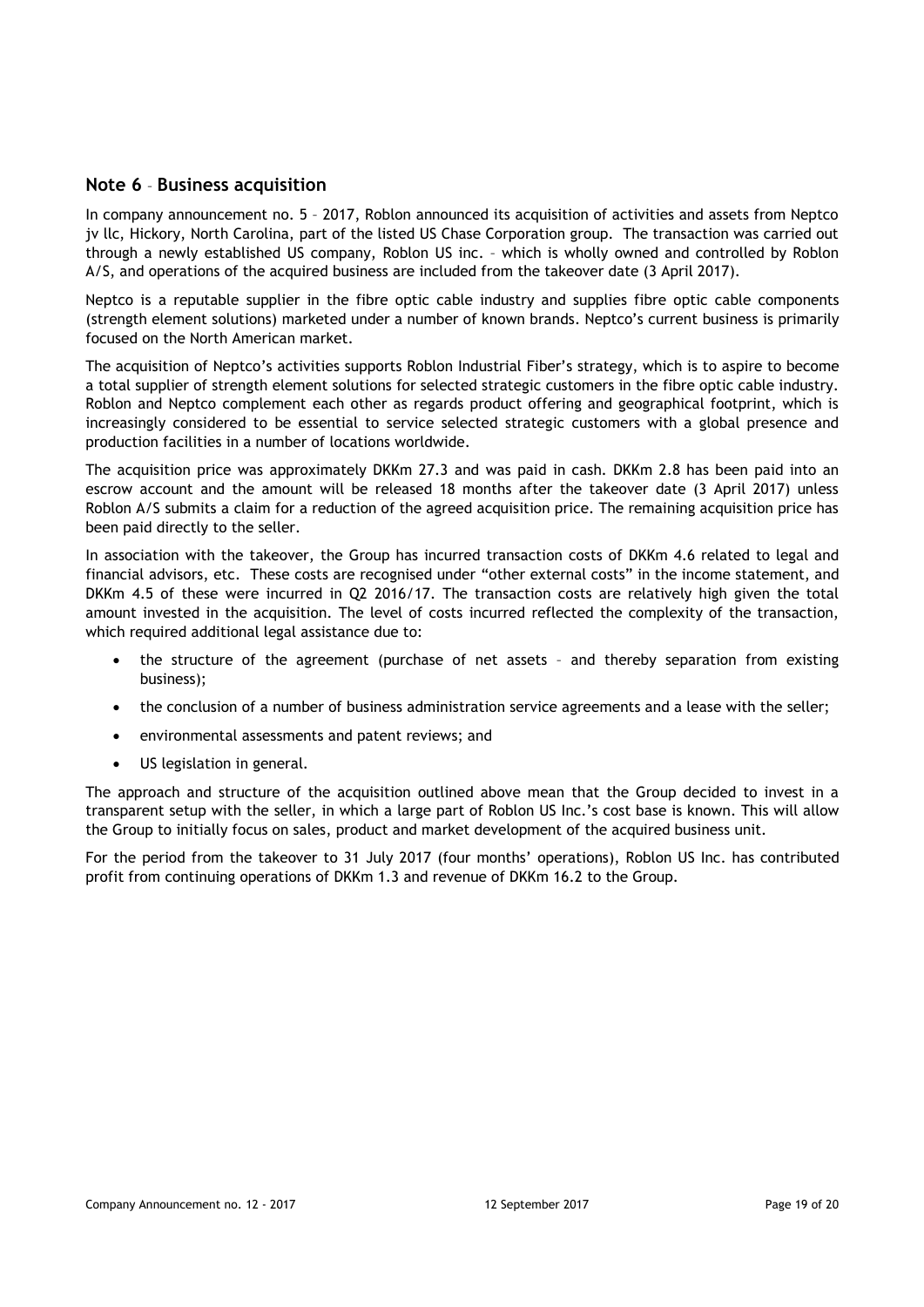#### **Note 6** – **Business acquisition**

In company announcement no. 5 – 2017, Roblon announced its acquisition of activities and assets from Neptco jv llc, Hickory, North Carolina, part of the listed US Chase Corporation group. The transaction was carried out through a newly established US company, Roblon US inc. – which is wholly owned and controlled by Roblon A/S, and operations of the acquired business are included from the takeover date (3 April 2017).

Neptco is a reputable supplier in the fibre optic cable industry and supplies fibre optic cable components (strength element solutions) marketed under a number of known brands. Neptco's current business is primarily focused on the North American market.

The acquisition of Neptco's activities supports Roblon Industrial Fiber's strategy, which is to aspire to become a total supplier of strength element solutions for selected strategic customers in the fibre optic cable industry. Roblon and Neptco complement each other as regards product offering and geographical footprint, which is increasingly considered to be essential to service selected strategic customers with a global presence and production facilities in a number of locations worldwide.

The acquisition price was approximately DKKm 27.3 and was paid in cash. DKKm 2.8 has been paid into an escrow account and the amount will be released 18 months after the takeover date (3 April 2017) unless Roblon A/S submits a claim for a reduction of the agreed acquisition price. The remaining acquisition price has been paid directly to the seller.

In association with the takeover, the Group has incurred transaction costs of DKKm 4.6 related to legal and financial advisors, etc. These costs are recognised under "other external costs" in the income statement, and DKKm 4.5 of these were incurred in Q2 2016/17. The transaction costs are relatively high given the total amount invested in the acquisition. The level of costs incurred reflected the complexity of the transaction, which required additional legal assistance due to:

- the structure of the agreement (purchase of net assets and thereby separation from existing business);
- · the conclusion of a number of business administration service agreements and a lease with the seller;
- environmental assessments and patent reviews; and
- · US legislation in general.

The approach and structure of the acquisition outlined above mean that the Group decided to invest in a transparent setup with the seller, in which a large part of Roblon US Inc.'s cost base is known. This will allow the Group to initially focus on sales, product and market development of the acquired business unit.

For the period from the takeover to 31 July 2017 (four months' operations), Roblon US Inc. has contributed profit from continuing operations of DKKm 1.3 and revenue of DKKm 16.2 to the Group*.*